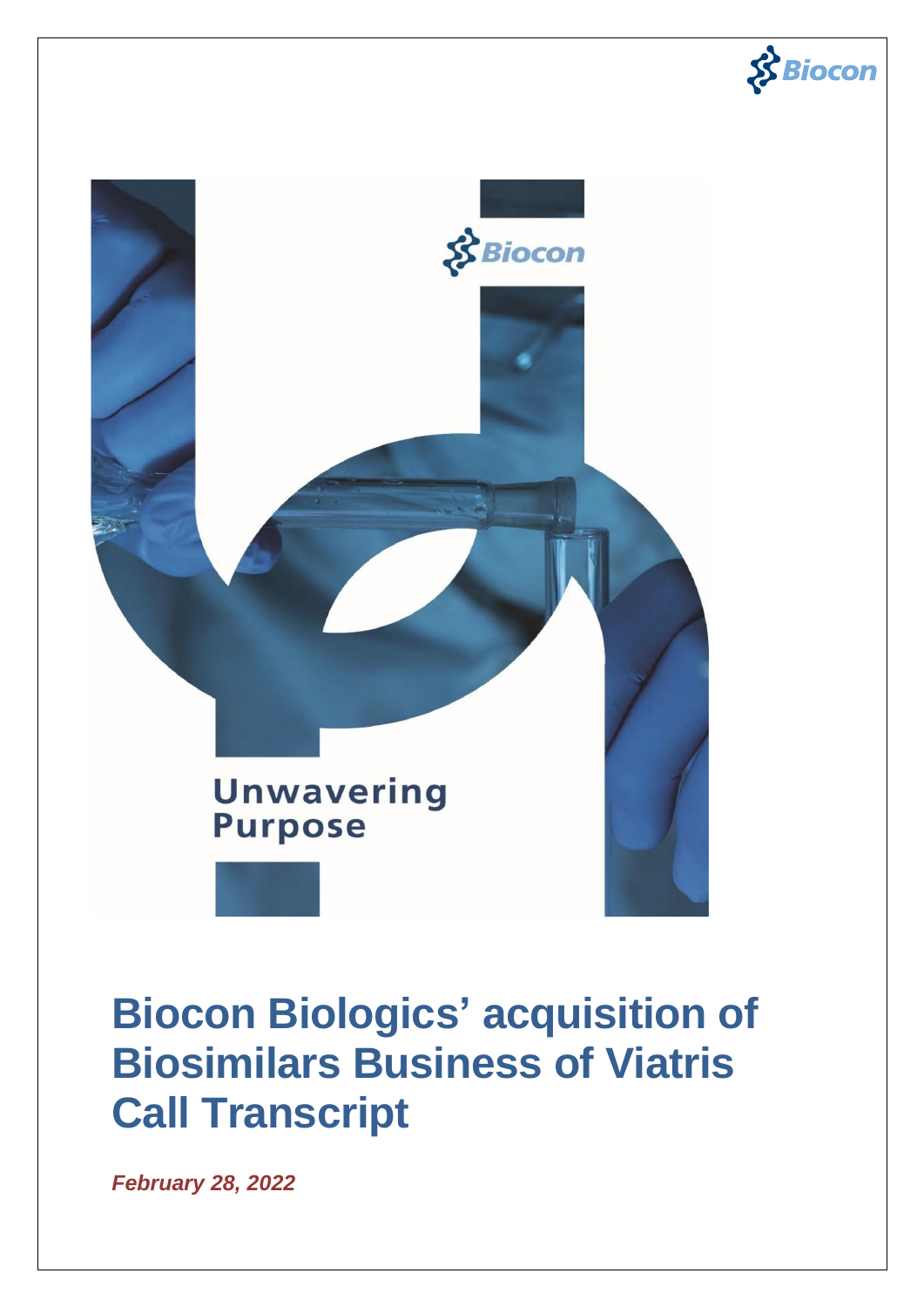



# **Biocon Biologics' acquisition of Biosimilars Business of Viatris Call Transcript**

*February 28, 2022*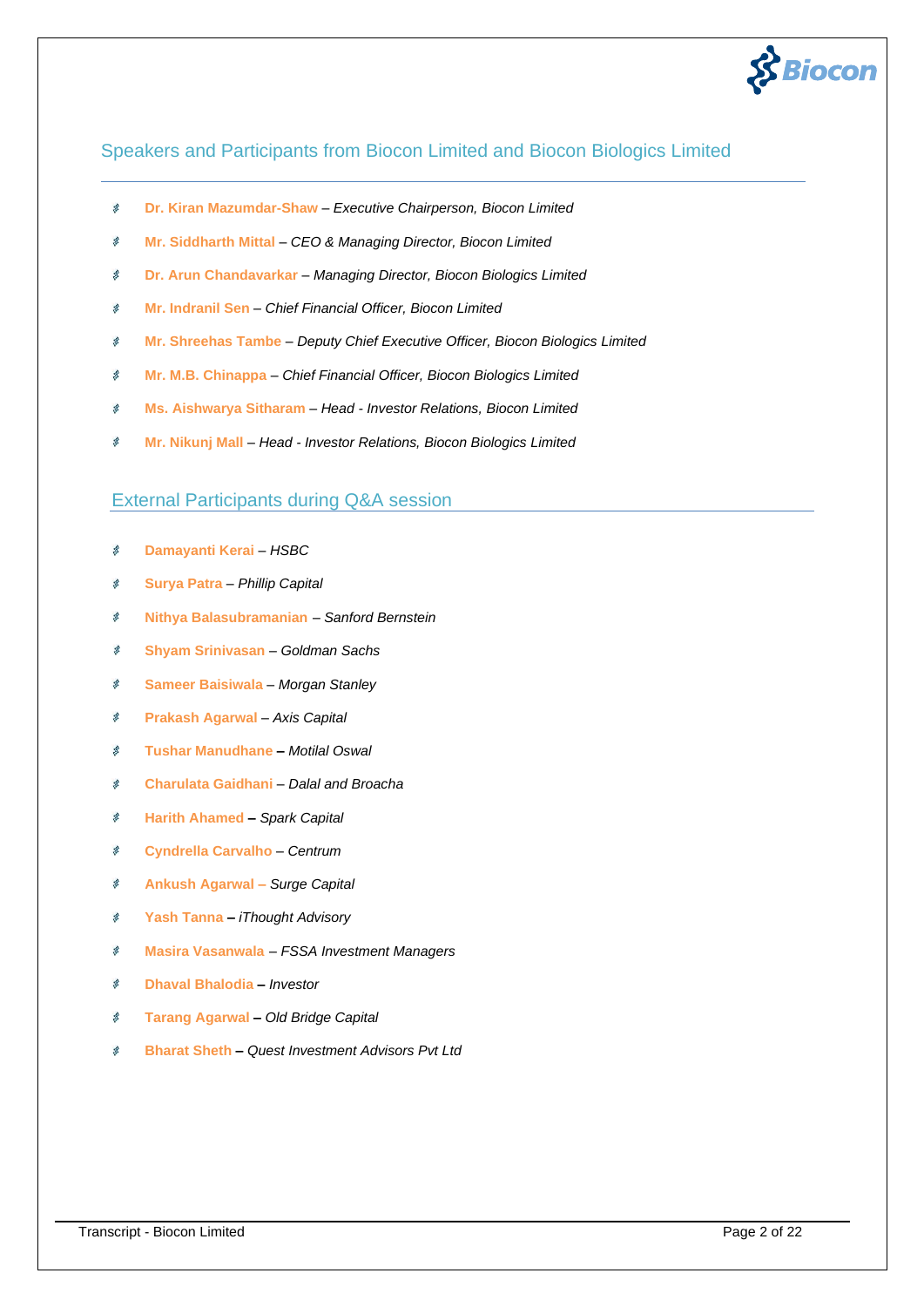

# Speakers and Participants from Biocon Limited and Biocon Biologics Limited

- **Dr. Kiran Mazumdar-Shaw**  *Executive Chairperson, Biocon Limited* Š
- $\vec{p}$ **Mr. Siddharth Mittal** – *CEO & Managing Director, Biocon Limited*
- 客 **Dr. Arun Chandavarkar** – *Managing Director, Biocon Biologics Limited*
- 求 **Mr. Indranil Sen** – *Chief Financial Officer, Biocon Limited*
- $\vec{p}$ **Mr. Shreehas Tambe** – *Deputy Chief Executive Officer, Biocon Biologics Limited*
- $\mathcal{B}$ **Mr. M.B. Chinappa** – *Chief Financial Officer, Biocon Biologics Limited*
- 凤 **Ms. Aishwarya Sitharam** – *Head - Investor Relations, Biocon Limited*
- **Mr. Nikunj Mall**  *Head - Investor Relations, Biocon Biologics Limited*  $\vec{S}$

# External Participants during Q&A session

- $\mathbf{S}$ **Damayanti Kerai** – *HSBC*
- ø **Surya Patra** – *Phillip Capital*
- Š **Nithya Balasubramanian** *– Sanford Bernstein*
- $\mathbf{S}$ **Shyam Srinivasan** – *Goldman Sachs*
- 求 **Sameer Baisiwala** – *Morgan Stanley*
- 客 **Prakash Agarwal** – *Axis Capital*
- y. **Tushar Manudhane –** *Motilal Oswal*
- $\mathbf{S}$ **Charulata Gaidhani** *– Dalal and Broacha*
- $\mathcal{R}$ **Harith Ahamed –** *Spark Capital*
- **Cyndrella Carvalho** *– Centrum*  $\mathbf{S}$
- 求 **Ankush Agarwal –** *Surge Capital*
- $\mathbf{S}$ **Yash Tanna –** *iThought Advisory*
- ś **Masira Vasanwala** *– FSSA Investment Managers*
- **Dhaval Bhalodia –** *Investor* ś
- 客 **Tarang Agarwal –** *Old Bridge Capital*
- **Bharat Sheth –** *Quest Investment Advisors Pvt Ltd*Š.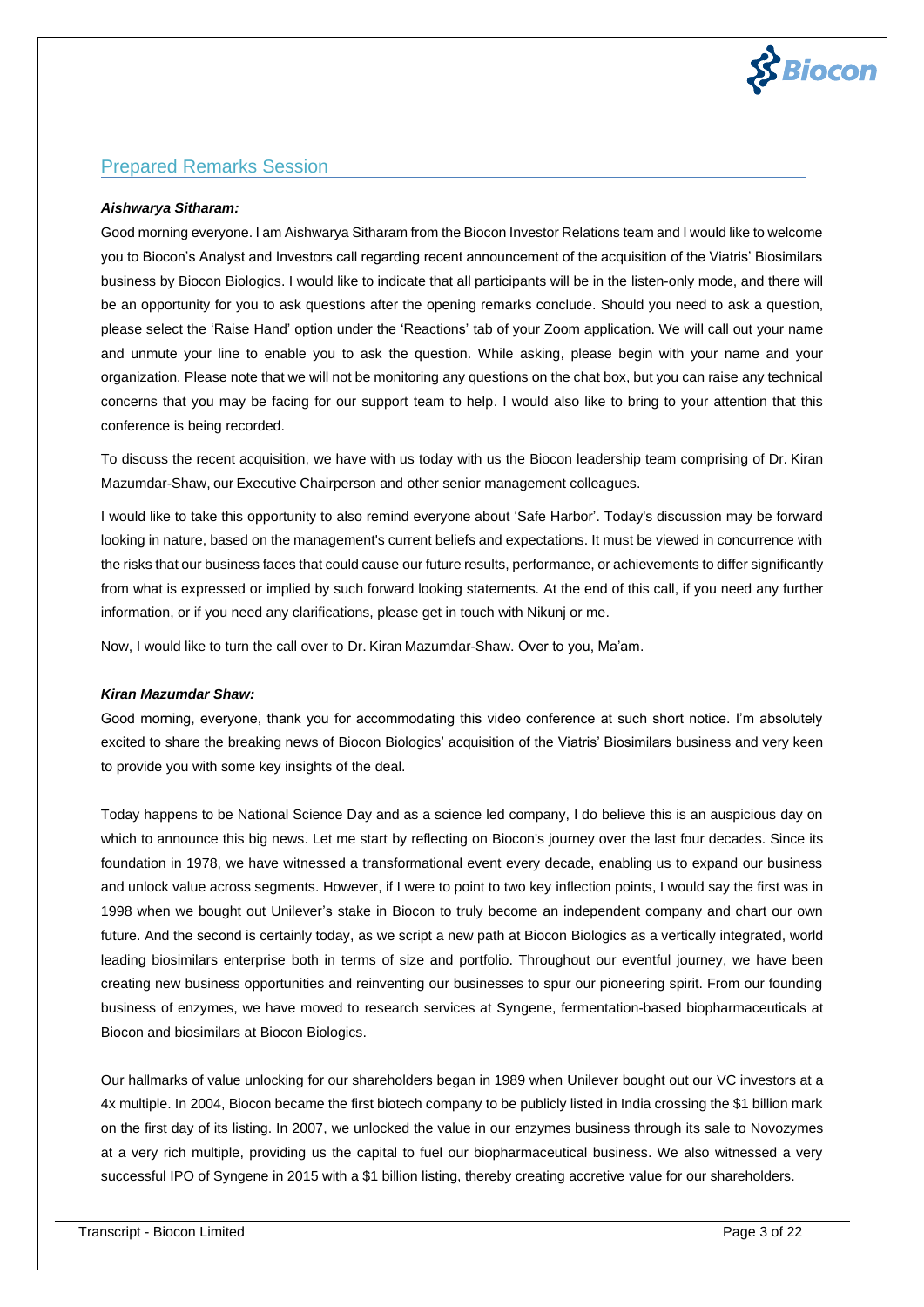

# Prepared Remarks Session

### *Aishwarya Sitharam:*

Good morning everyone. I am Aishwarya Sitharam from the Biocon Investor Relations team and I would like to welcome you to Biocon's Analyst and Investors call regarding recent announcement of the acquisition of the Viatris' Biosimilars business by Biocon Biologics. I would like to indicate that all participants will be in the listen-only mode, and there will be an opportunity for you to ask questions after the opening remarks conclude. Should you need to ask a question, please select the 'Raise Hand' option under the 'Reactions' tab of your Zoom application. We will call out your name and unmute your line to enable you to ask the question. While asking, please begin with your name and your organization. Please note that we will not be monitoring any questions on the chat box, but you can raise any technical concerns that you may be facing for our support team to help. I would also like to bring to your attention that this conference is being recorded.

To discuss the recent acquisition, we have with us today with us the Biocon leadership team comprising of Dr. Kiran Mazumdar-Shaw, our Executive Chairperson and other senior management colleagues.

I would like to take this opportunity to also remind everyone about 'Safe Harbor'. Today's discussion may be forward looking in nature, based on the management's current beliefs and expectations. It must be viewed in concurrence with the risks that our business faces that could cause our future results, performance, or achievements to differ significantly from what is expressed or implied by such forward looking statements. At the end of this call, if you need any further information, or if you need any clarifications, please get in touch with Nikunj or me.

Now, I would like to turn the call over to Dr. Kiran Mazumdar-Shaw. Over to you, Ma'am.

#### *Kiran Mazumdar Shaw:*

Good morning, everyone, thank you for accommodating this video conference at such short notice. I'm absolutely excited to share the breaking news of Biocon Biologics' acquisition of the Viatris' Biosimilars business and very keen to provide you with some key insights of the deal.

Today happens to be National Science Day and as a science led company, I do believe this is an auspicious day on which to announce this big news. Let me start by reflecting on Biocon's journey over the last four decades. Since its foundation in 1978, we have witnessed a transformational event every decade, enabling us to expand our business and unlock value across segments. However, if I were to point to two key inflection points, I would say the first was in 1998 when we bought out Unilever's stake in Biocon to truly become an independent company and chart our own future. And the second is certainly today, as we script a new path at Biocon Biologics as a vertically integrated, world leading biosimilars enterprise both in terms of size and portfolio. Throughout our eventful journey, we have been creating new business opportunities and reinventing our businesses to spur our pioneering spirit. From our founding business of enzymes, we have moved to research services at Syngene, fermentation-based biopharmaceuticals at Biocon and biosimilars at Biocon Biologics.

Our hallmarks of value unlocking for our shareholders began in 1989 when Unilever bought out our VC investors at a 4x multiple. In 2004, Biocon became the first biotech company to be publicly listed in India crossing the \$1 billion mark on the first day of its listing. In 2007, we unlocked the value in our enzymes business through its sale to Novozymes at a very rich multiple, providing us the capital to fuel our biopharmaceutical business. We also witnessed a very successful IPO of Syngene in 2015 with a \$1 billion listing, thereby creating accretive value for our shareholders.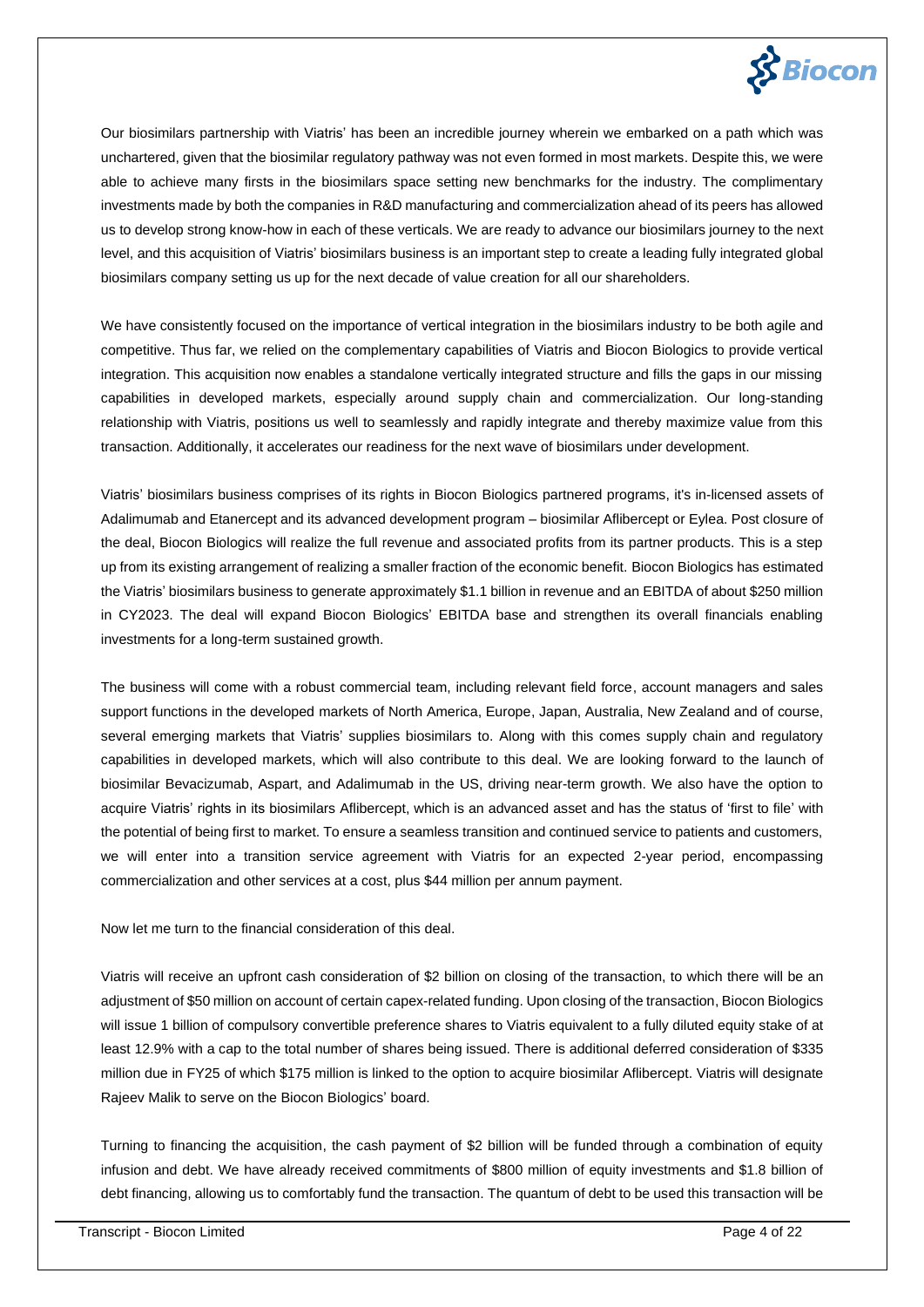

Our biosimilars partnership with Viatris' has been an incredible journey wherein we embarked on a path which was unchartered, given that the biosimilar regulatory pathway was not even formed in most markets. Despite this, we were able to achieve many firsts in the biosimilars space setting new benchmarks for the industry. The complimentary investments made by both the companies in R&D manufacturing and commercialization ahead of its peers has allowed us to develop strong know-how in each of these verticals. We are ready to advance our biosimilars journey to the next level, and this acquisition of Viatris' biosimilars business is an important step to create a leading fully integrated global biosimilars company setting us up for the next decade of value creation for all our shareholders.

We have consistently focused on the importance of vertical integration in the biosimilars industry to be both agile and competitive. Thus far, we relied on the complementary capabilities of Viatris and Biocon Biologics to provide vertical integration. This acquisition now enables a standalone vertically integrated structure and fills the gaps in our missing capabilities in developed markets, especially around supply chain and commercialization. Our long-standing relationship with Viatris, positions us well to seamlessly and rapidly integrate and thereby maximize value from this transaction. Additionally, it accelerates our readiness for the next wave of biosimilars under development.

Viatris' biosimilars business comprises of its rights in Biocon Biologics partnered programs, it's in-licensed assets of Adalimumab and Etanercept and its advanced development program – biosimilar Aflibercept or Eylea. Post closure of the deal, Biocon Biologics will realize the full revenue and associated profits from its partner products. This is a step up from its existing arrangement of realizing a smaller fraction of the economic benefit. Biocon Biologics has estimated the Viatris' biosimilars business to generate approximately \$1.1 billion in revenue and an EBITDA of about \$250 million in CY2023. The deal will expand Biocon Biologics' EBITDA base and strengthen its overall financials enabling investments for a long-term sustained growth.

The business will come with a robust commercial team, including relevant field force, account managers and sales support functions in the developed markets of North America, Europe, Japan, Australia, New Zealand and of course, several emerging markets that Viatris' supplies biosimilars to. Along with this comes supply chain and regulatory capabilities in developed markets, which will also contribute to this deal. We are looking forward to the launch of biosimilar Bevacizumab, Aspart, and Adalimumab in the US, driving near-term growth. We also have the option to acquire Viatris' rights in its biosimilars Aflibercept, which is an advanced asset and has the status of 'first to file' with the potential of being first to market. To ensure a seamless transition and continued service to patients and customers, we will enter into a transition service agreement with Viatris for an expected 2-year period, encompassing commercialization and other services at a cost, plus \$44 million per annum payment.

Now let me turn to the financial consideration of this deal.

Viatris will receive an upfront cash consideration of \$2 billion on closing of the transaction, to which there will be an adjustment of \$50 million on account of certain capex-related funding. Upon closing of the transaction, Biocon Biologics will issue 1 billion of compulsory convertible preference shares to Viatris equivalent to a fully diluted equity stake of at least 12.9% with a cap to the total number of shares being issued. There is additional deferred consideration of \$335 million due in FY25 of which \$175 million is linked to the option to acquire biosimilar Aflibercept. Viatris will designate Rajeev Malik to serve on the Biocon Biologics' board.

Turning to financing the acquisition, the cash payment of \$2 billion will be funded through a combination of equity infusion and debt. We have already received commitments of \$800 million of equity investments and \$1.8 billion of debt financing, allowing us to comfortably fund the transaction. The quantum of debt to be used this transaction will be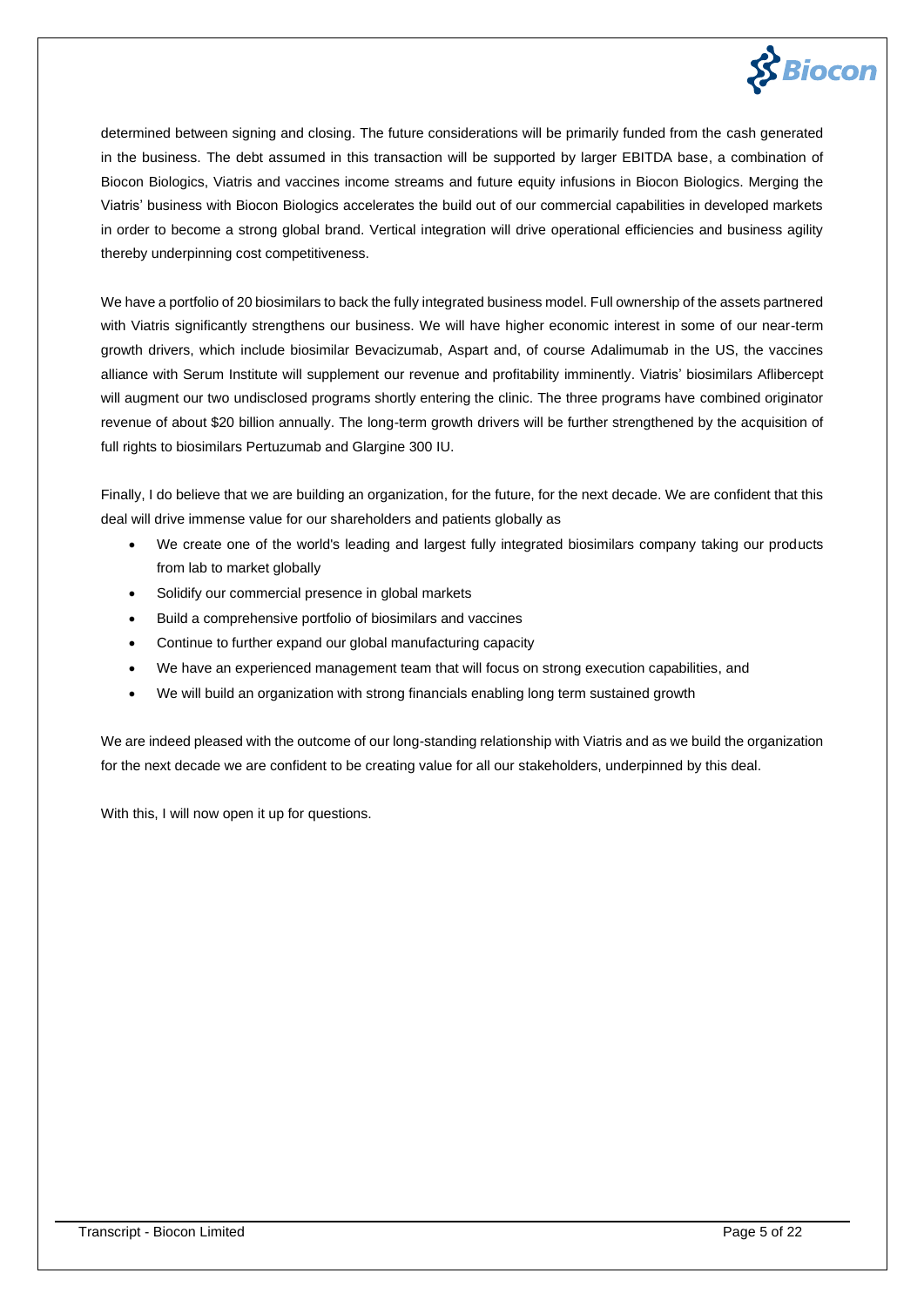

determined between signing and closing. The future considerations will be primarily funded from the cash generated in the business. The debt assumed in this transaction will be supported by larger EBITDA base, a combination of Biocon Biologics, Viatris and vaccines income streams and future equity infusions in Biocon Biologics. Merging the Viatris' business with Biocon Biologics accelerates the build out of our commercial capabilities in developed markets in order to become a strong global brand. Vertical integration will drive operational efficiencies and business agility thereby underpinning cost competitiveness.

We have a portfolio of 20 biosimilars to back the fully integrated business model. Full ownership of the assets partnered with Viatris significantly strengthens our business. We will have higher economic interest in some of our near-term growth drivers, which include biosimilar Bevacizumab, Aspart and, of course Adalimumab in the US, the vaccines alliance with Serum Institute will supplement our revenue and profitability imminently. Viatris' biosimilars Aflibercept will augment our two undisclosed programs shortly entering the clinic. The three programs have combined originator revenue of about \$20 billion annually. The long-term growth drivers will be further strengthened by the acquisition of full rights to biosimilars Pertuzumab and Glargine 300 IU.

Finally, I do believe that we are building an organization, for the future, for the next decade. We are confident that this deal will drive immense value for our shareholders and patients globally as

- We create one of the world's leading and largest fully integrated biosimilars company taking our products from lab to market globally
- Solidify our commercial presence in global markets
- Build a comprehensive portfolio of biosimilars and vaccines
- Continue to further expand our global manufacturing capacity
- We have an experienced management team that will focus on strong execution capabilities, and
- We will build an organization with strong financials enabling long term sustained growth

We are indeed pleased with the outcome of our long-standing relationship with Viatris and as we build the organization for the next decade we are confident to be creating value for all our stakeholders, underpinned by this deal.

With this, I will now open it up for questions.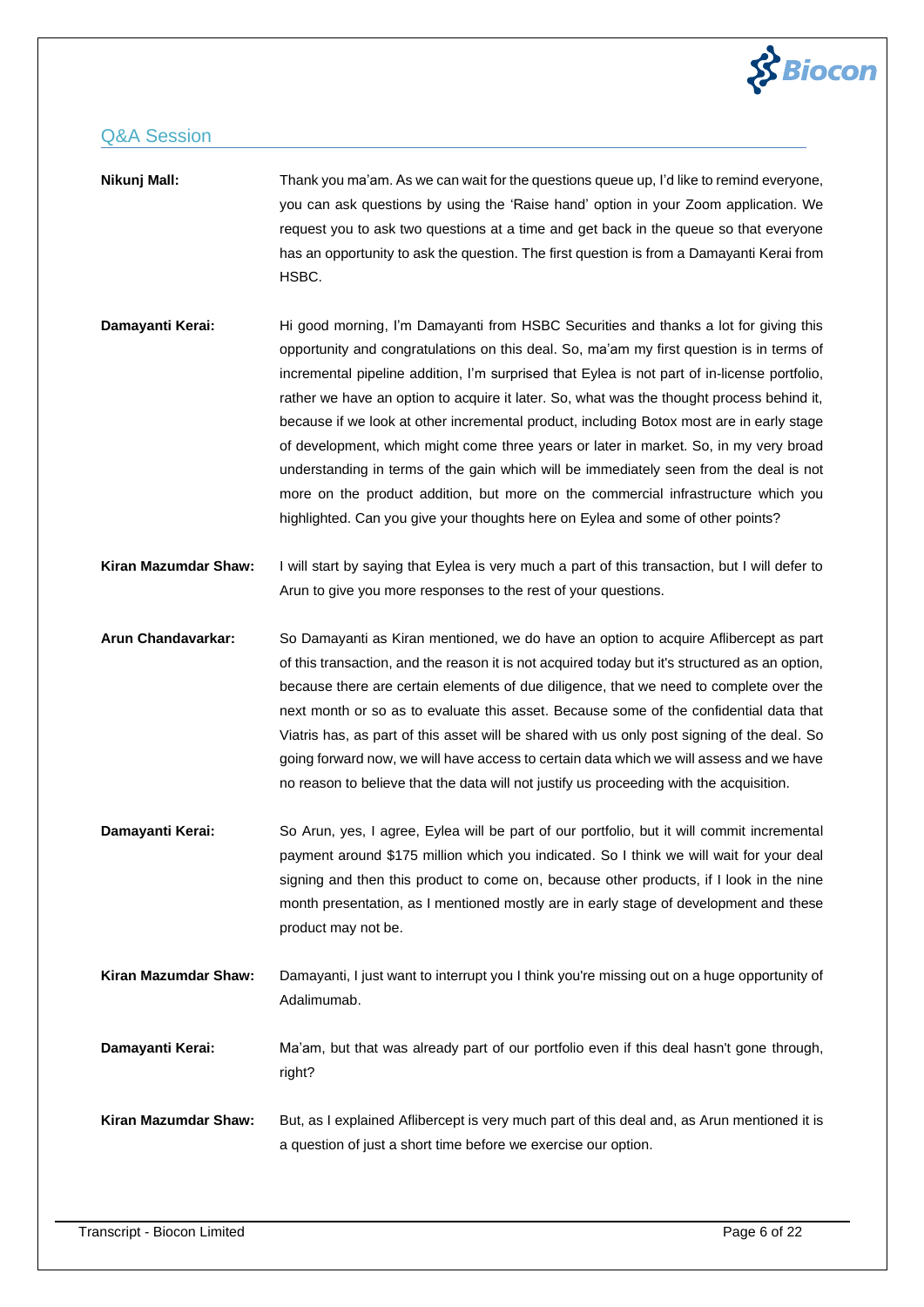

| Nikunj Mall:         | Thank you ma'am. As we can wait for the questions queue up, I'd like to remind everyone,<br>you can ask questions by using the 'Raise hand' option in your Zoom application. We<br>request you to ask two questions at a time and get back in the queue so that everyone<br>has an opportunity to ask the question. The first question is from a Damayanti Kerai from<br>HSBC.                                                                                                                                                                                                                                                                                                                                                                                                                                                       |
|----------------------|--------------------------------------------------------------------------------------------------------------------------------------------------------------------------------------------------------------------------------------------------------------------------------------------------------------------------------------------------------------------------------------------------------------------------------------------------------------------------------------------------------------------------------------------------------------------------------------------------------------------------------------------------------------------------------------------------------------------------------------------------------------------------------------------------------------------------------------|
| Damayanti Kerai:     | Hi good morning, I'm Damayanti from HSBC Securities and thanks a lot for giving this<br>opportunity and congratulations on this deal. So, ma'am my first question is in terms of<br>incremental pipeline addition, I'm surprised that Eylea is not part of in-license portfolio,<br>rather we have an option to acquire it later. So, what was the thought process behind it,<br>because if we look at other incremental product, including Botox most are in early stage<br>of development, which might come three years or later in market. So, in my very broad<br>understanding in terms of the gain which will be immediately seen from the deal is not<br>more on the product addition, but more on the commercial infrastructure which you<br>highlighted. Can you give your thoughts here on Eylea and some of other points? |
| Kiran Mazumdar Shaw: | I will start by saying that Eylea is very much a part of this transaction, but I will defer to<br>Arun to give you more responses to the rest of your questions.                                                                                                                                                                                                                                                                                                                                                                                                                                                                                                                                                                                                                                                                     |
| Arun Chandavarkar:   | So Damayanti as Kiran mentioned, we do have an option to acquire Aflibercept as part<br>of this transaction, and the reason it is not acquired today but it's structured as an option,<br>because there are certain elements of due diligence, that we need to complete over the<br>next month or so as to evaluate this asset. Because some of the confidential data that<br>Viatris has, as part of this asset will be shared with us only post signing of the deal. So<br>going forward now, we will have access to certain data which we will assess and we have<br>no reason to believe that the data will not justify us proceeding with the acquisition.                                                                                                                                                                      |
| Damayanti Kerai:     | So Arun, yes, I agree, Eylea will be part of our portfolio, but it will commit incremental<br>payment around \$175 million which you indicated. So I think we will wait for your deal<br>signing and then this product to come on, because other products, if I look in the nine<br>month presentation, as I mentioned mostly are in early stage of development and these<br>product may not be.                                                                                                                                                                                                                                                                                                                                                                                                                                     |
| Kiran Mazumdar Shaw: | Damayanti, I just want to interrupt you I think you're missing out on a huge opportunity of<br>Adalimumab.                                                                                                                                                                                                                                                                                                                                                                                                                                                                                                                                                                                                                                                                                                                           |
| Damayanti Kerai:     | Ma'am, but that was already part of our portfolio even if this deal hasn't gone through,<br>right?                                                                                                                                                                                                                                                                                                                                                                                                                                                                                                                                                                                                                                                                                                                                   |
| Kiran Mazumdar Shaw: | But, as I explained Aflibercept is very much part of this deal and, as Arun mentioned it is<br>a question of just a short time before we exercise our option.                                                                                                                                                                                                                                                                                                                                                                                                                                                                                                                                                                                                                                                                        |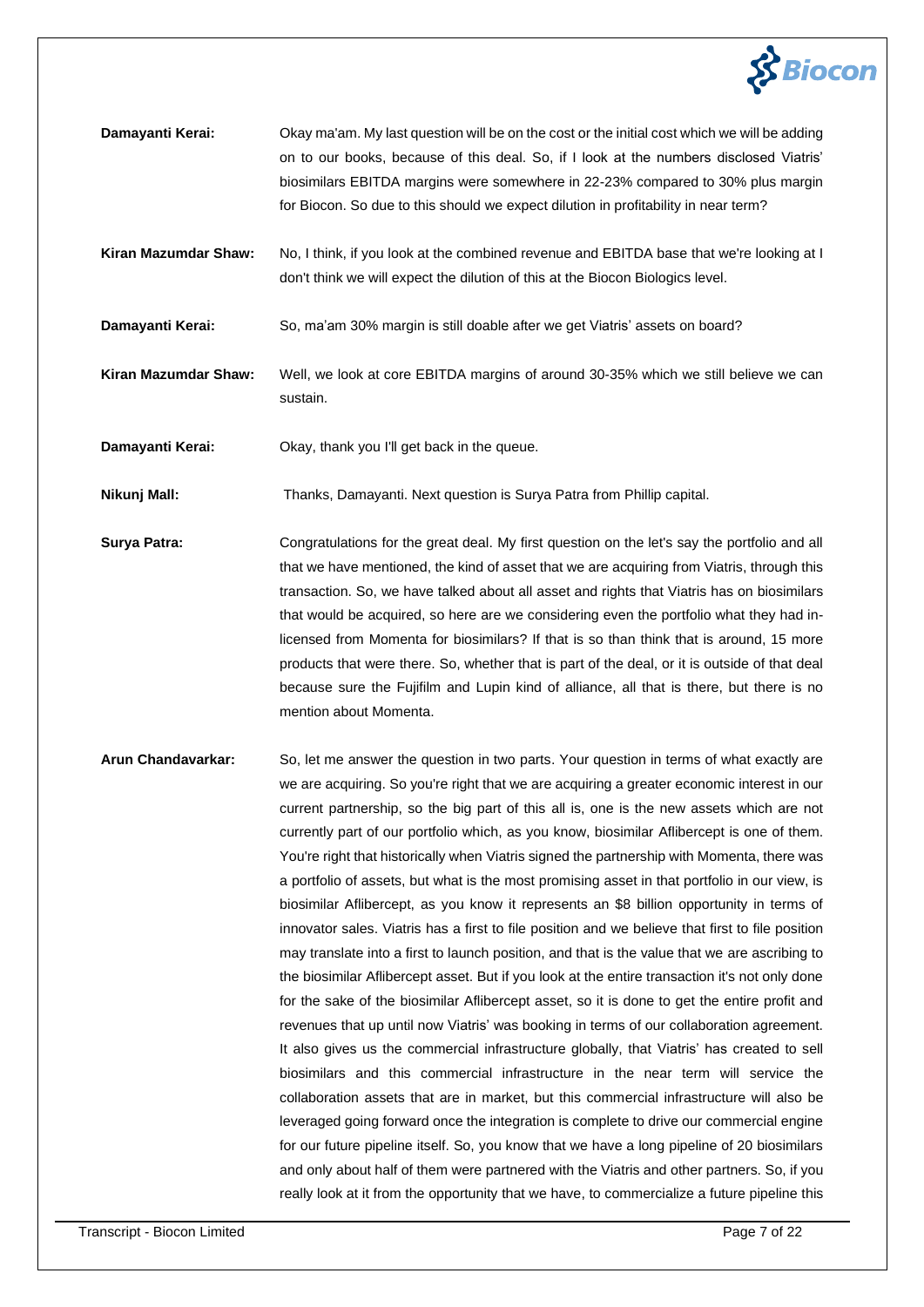

| Damayanti Kerai:     | Okay ma'am. My last question will be on the cost or the initial cost which we will be adding<br>on to our books, because of this deal. So, if I look at the numbers disclosed Viatris'<br>biosimilars EBITDA margins were somewhere in 22-23% compared to 30% plus margin<br>for Biocon. So due to this should we expect dilution in profitability in near term? |
|----------------------|------------------------------------------------------------------------------------------------------------------------------------------------------------------------------------------------------------------------------------------------------------------------------------------------------------------------------------------------------------------|
| Kiran Mazumdar Shaw: | No, I think, if you look at the combined revenue and EBITDA base that we're looking at I<br>don't think we will expect the dilution of this at the Biocon Biologics level.                                                                                                                                                                                       |

**Damayanti Kerai:** So, ma'am 30% margin is still doable after we get Viatris' assets on board?

- **Kiran Mazumdar Shaw:** Well, we look at core EBITDA margins of around 30-35% which we still believe we can sustain.
- **Damayanti Kerai:** Okay, thank you I'll get back in the queue.

**Nikunj Mall:** Thanks, Damayanti. Next question is Surya Patra from Phillip capital.

- **Surya Patra:** Congratulations for the great deal. My first question on the let's say the portfolio and all that we have mentioned, the kind of asset that we are acquiring from Viatris, through this transaction. So, we have talked about all asset and rights that Viatris has on biosimilars that would be acquired, so here are we considering even the portfolio what they had inlicensed from Momenta for biosimilars? If that is so than think that is around, 15 more products that were there. So, whether that is part of the deal, or it is outside of that deal because sure the Fujifilm and Lupin kind of alliance, all that is there, but there is no mention about Momenta.
- **Arun Chandavarkar:** So, let me answer the question in two parts. Your question in terms of what exactly are we are acquiring. So you're right that we are acquiring a greater economic interest in our current partnership, so the big part of this all is, one is the new assets which are not currently part of our portfolio which, as you know, biosimilar Aflibercept is one of them. You're right that historically when Viatris signed the partnership with Momenta, there was a portfolio of assets, but what is the most promising asset in that portfolio in our view, is biosimilar Aflibercept, as you know it represents an \$8 billion opportunity in terms of innovator sales. Viatris has a first to file position and we believe that first to file position may translate into a first to launch position, and that is the value that we are ascribing to the biosimilar Aflibercept asset. But if you look at the entire transaction it's not only done for the sake of the biosimilar Aflibercept asset, so it is done to get the entire profit and revenues that up until now Viatris' was booking in terms of our collaboration agreement. It also gives us the commercial infrastructure globally, that Viatris' has created to sell biosimilars and this commercial infrastructure in the near term will service the collaboration assets that are in market, but this commercial infrastructure will also be leveraged going forward once the integration is complete to drive our commercial engine for our future pipeline itself. So, you know that we have a long pipeline of 20 biosimilars and only about half of them were partnered with the Viatris and other partners. So, if you really look at it from the opportunity that we have, to commercialize a future pipeline this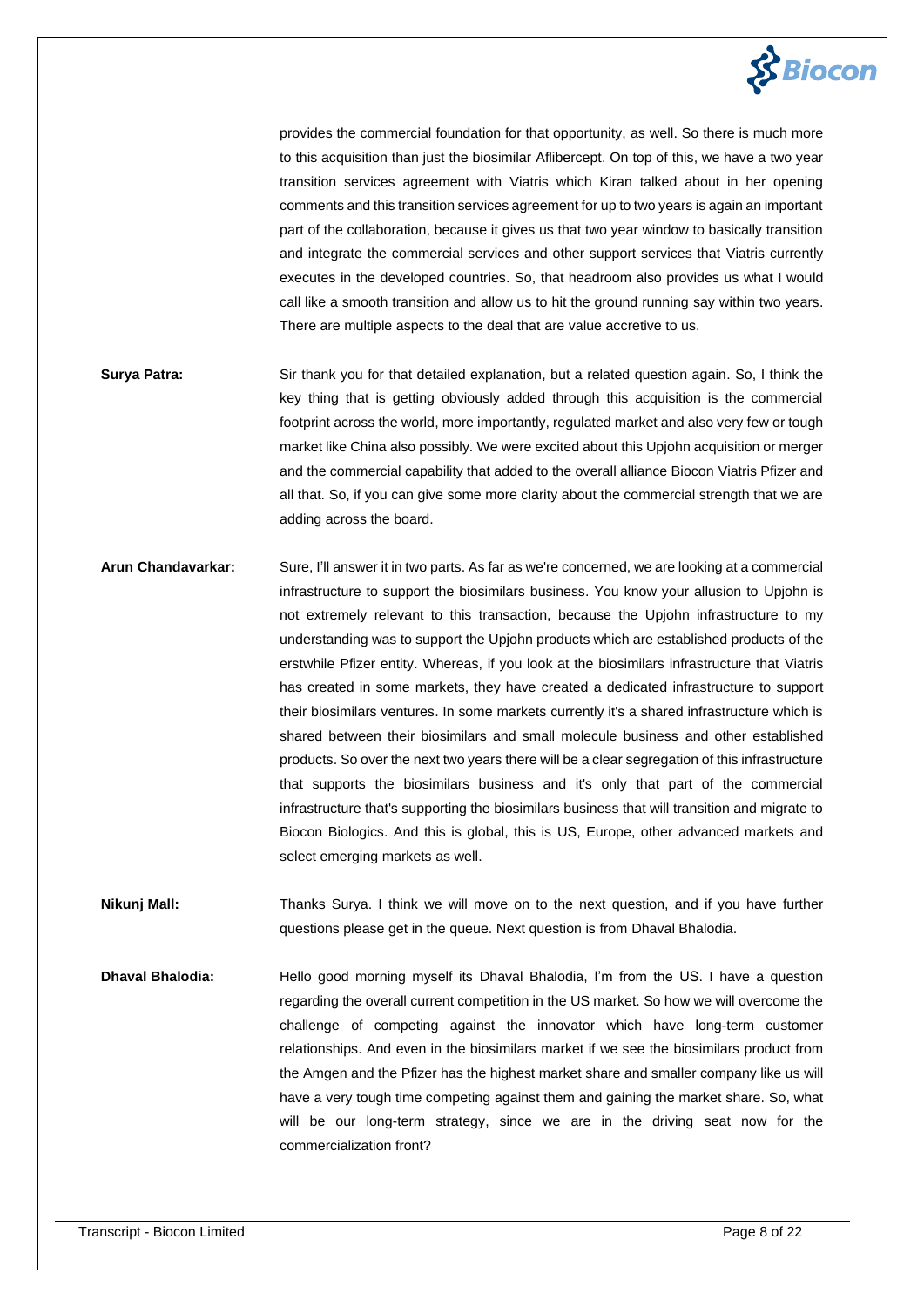

provides the commercial foundation for that opportunity, as well. So there is much more to this acquisition than just the biosimilar Aflibercept. On top of this, we have a two year transition services agreement with Viatris which Kiran talked about in her opening comments and this transition services agreement for up to two years is again an important part of the collaboration, because it gives us that two year window to basically transition and integrate the commercial services and other support services that Viatris currently executes in the developed countries. So, that headroom also provides us what I would call like a smooth transition and allow us to hit the ground running say within two years. There are multiple aspects to the deal that are value accretive to us.

- **Surya Patra:** Sir thank you for that detailed explanation, but a related question again. So, I think the key thing that is getting obviously added through this acquisition is the commercial footprint across the world, more importantly, regulated market and also very few or tough market like China also possibly. We were excited about this Upjohn acquisition or merger and the commercial capability that added to the overall alliance Biocon Viatris Pfizer and all that. So, if you can give some more clarity about the commercial strength that we are adding across the board.
- **Arun Chandavarkar:** Sure, I'll answer it in two parts. As far as we're concerned, we are looking at a commercial infrastructure to support the biosimilars business. You know your allusion to Upjohn is not extremely relevant to this transaction, because the Upjohn infrastructure to my understanding was to support the Upjohn products which are established products of the erstwhile Pfizer entity. Whereas, if you look at the biosimilars infrastructure that Viatris has created in some markets, they have created a dedicated infrastructure to support their biosimilars ventures. In some markets currently it's a shared infrastructure which is shared between their biosimilars and small molecule business and other established products. So over the next two years there will be a clear segregation of this infrastructure that supports the biosimilars business and it's only that part of the commercial infrastructure that's supporting the biosimilars business that will transition and migrate to Biocon Biologics. And this is global, this is US, Europe, other advanced markets and select emerging markets as well.

**Nikunj Mall:** Thanks Surya. I think we will move on to the next question, and if you have further questions please get in the queue. Next question is from Dhaval Bhalodia.

**Dhaval Bhalodia:** Hello good morning myself its Dhaval Bhalodia, I'm from the US. I have a question regarding the overall current competition in the US market. So how we will overcome the challenge of competing against the innovator which have long-term customer relationships. And even in the biosimilars market if we see the biosimilars product from the Amgen and the Pfizer has the highest market share and smaller company like us will have a very tough time competing against them and gaining the market share. So, what will be our long-term strategy, since we are in the driving seat now for the commercialization front?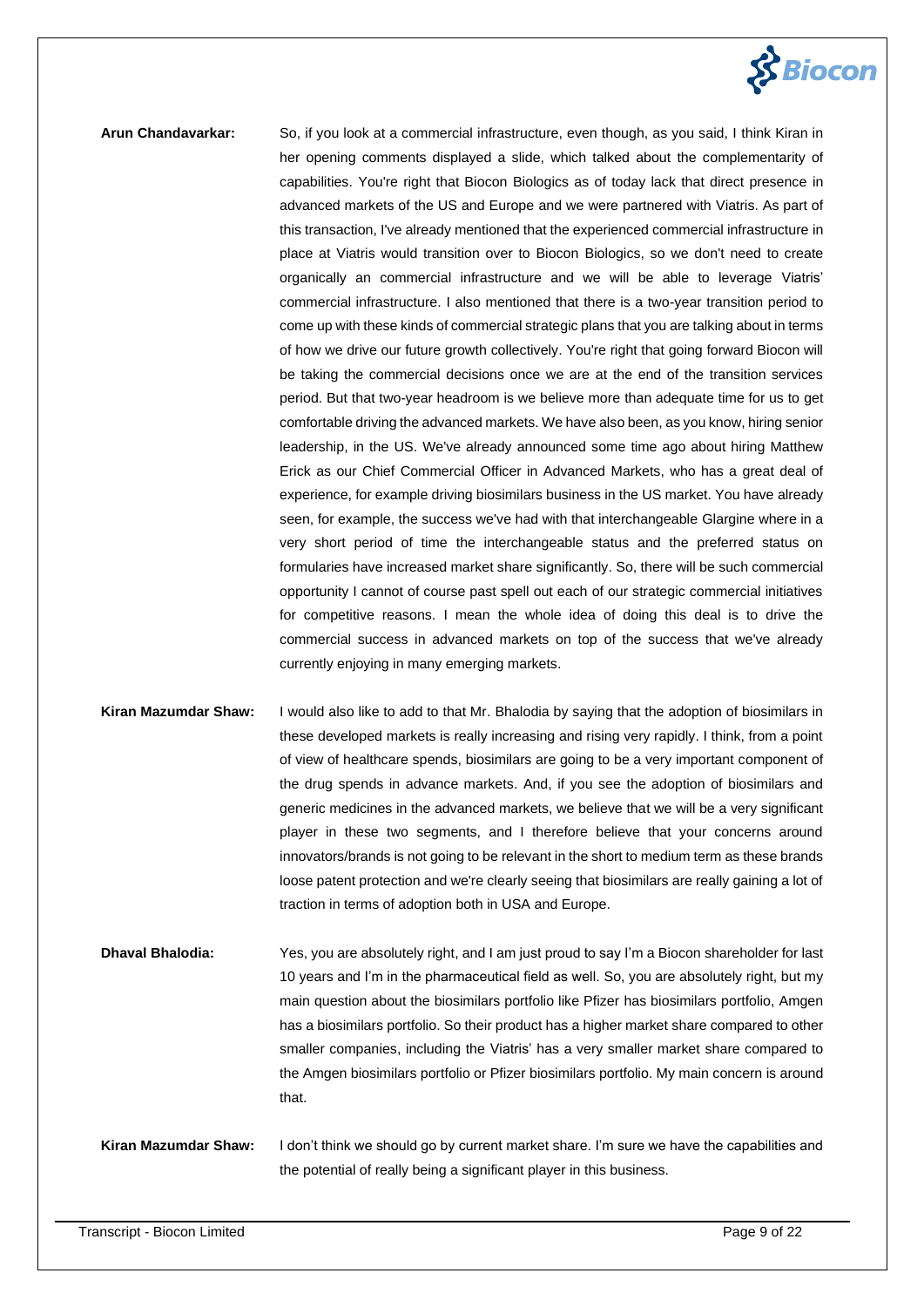

**Arun Chandavarkar:** So, if you look at a commercial infrastructure, even though, as you said, I think Kiran in her opening comments displayed a slide, which talked about the complementarity of capabilities. You're right that Biocon Biologics as of today lack that direct presence in advanced markets of the US and Europe and we were partnered with Viatris. As part of this transaction, I've already mentioned that the experienced commercial infrastructure in place at Viatris would transition over to Biocon Biologics, so we don't need to create organically an commercial infrastructure and we will be able to leverage Viatris' commercial infrastructure. I also mentioned that there is a two-year transition period to come up with these kinds of commercial strategic plans that you are talking about in terms of how we drive our future growth collectively. You're right that going forward Biocon will be taking the commercial decisions once we are at the end of the transition services period. But that two-year headroom is we believe more than adequate time for us to get comfortable driving the advanced markets. We have also been, as you know, hiring senior leadership, in the US. We've already announced some time ago about hiring Matthew Erick as our Chief Commercial Officer in Advanced Markets, who has a great deal of experience, for example driving biosimilars business in the US market. You have already seen, for example, the success we've had with that interchangeable Glargine where in a very short period of time the interchangeable status and the preferred status on formularies have increased market share significantly. So, there will be such commercial opportunity I cannot of course past spell out each of our strategic commercial initiatives for competitive reasons. I mean the whole idea of doing this deal is to drive the commercial success in advanced markets on top of the success that we've already currently enjoying in many emerging markets.

# **Kiran Mazumdar Shaw:** I would also like to add to that Mr. Bhalodia by saying that the adoption of biosimilars in these developed markets is really increasing and rising very rapidly. I think, from a point of view of healthcare spends, biosimilars are going to be a very important component of the drug spends in advance markets. And, if you see the adoption of biosimilars and generic medicines in the advanced markets, we believe that we will be a very significant player in these two segments, and I therefore believe that your concerns around innovators/brands is not going to be relevant in the short to medium term as these brands loose patent protection and we're clearly seeing that biosimilars are really gaining a lot of traction in terms of adoption both in USA and Europe.

**Dhaval Bhalodia:** Yes, you are absolutely right, and I am just proud to say I'm a Biocon shareholder for last 10 years and I'm in the pharmaceutical field as well. So, you are absolutely right, but my main question about the biosimilars portfolio like Pfizer has biosimilars portfolio, Amgen has a biosimilars portfolio. So their product has a higher market share compared to other smaller companies, including the Viatris' has a very smaller market share compared to the Amgen biosimilars portfolio or Pfizer biosimilars portfolio. My main concern is around that.

# **Kiran Mazumdar Shaw:** I don't think we should go by current market share. I'm sure we have the capabilities and the potential of really being a significant player in this business.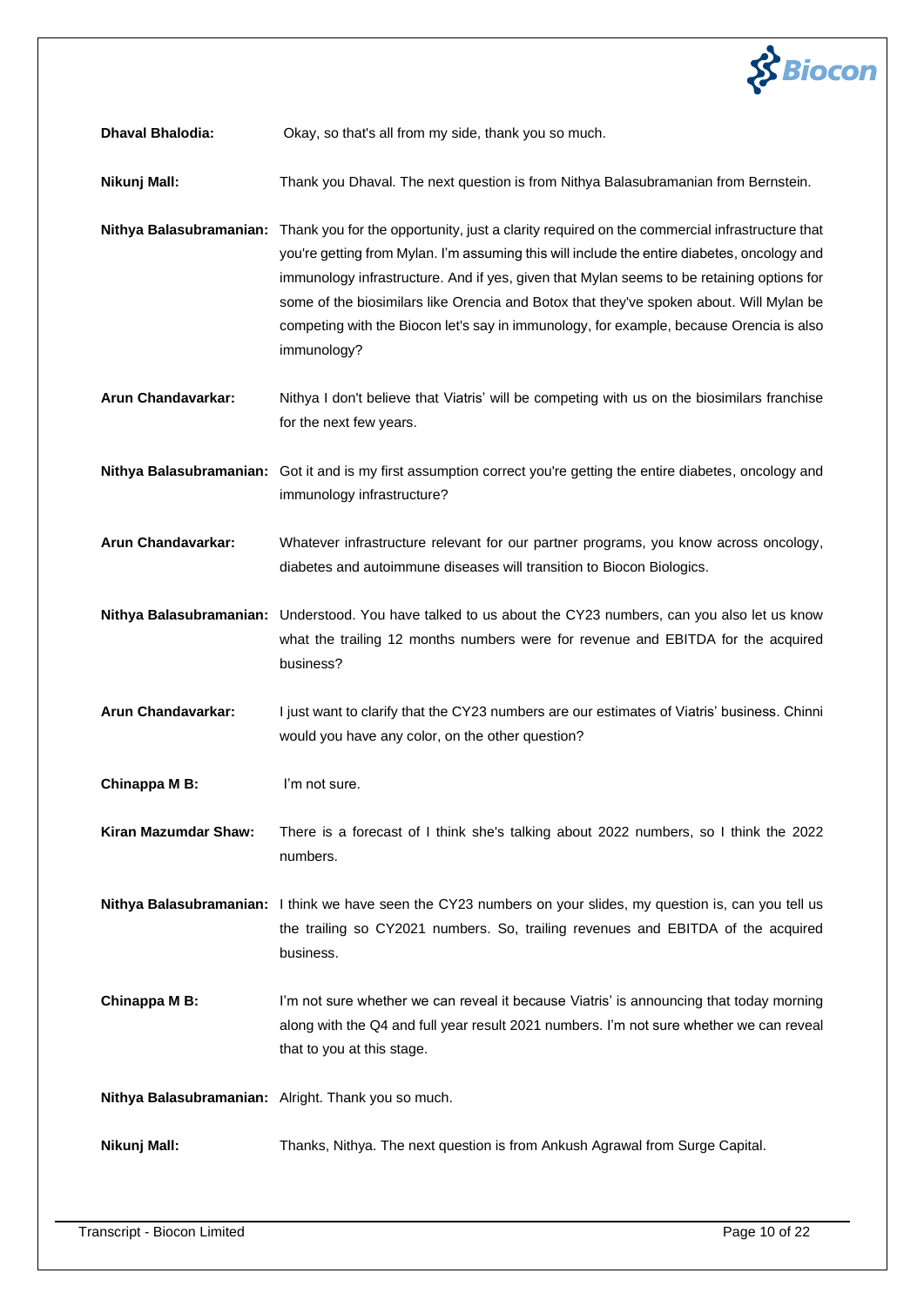

**Dhaval Bhalodia:** Okay, so that's all from my side, thank you so much.

**Nikunj Mall:** Thank you Dhaval. The next question is from Nithya Balasubramanian from Bernstein.

- **Nithya Balasubramanian:** Thank you for the opportunity, just a clarity required on the commercial infrastructure that you're getting from Mylan. I'm assuming this will include the entire diabetes, oncology and immunology infrastructure. And if yes, given that Mylan seems to be retaining options for some of the biosimilars like Orencia and Botox that they've spoken about. Will Mylan be competing with the Biocon let's say in immunology, for example, because Orencia is also immunology?
- **Arun Chandavarkar:** Nithya I don't believe that Viatris' will be competing with us on the biosimilars franchise for the next few years.

**Nithya Balasubramanian:** Got it and is my first assumption correct you're getting the entire diabetes, oncology and immunology infrastructure?

**Arun Chandavarkar:** Whatever infrastructure relevant for our partner programs, you know across oncology, diabetes and autoimmune diseases will transition to Biocon Biologics.

**Nithya Balasubramanian:** Understood. You have talked to us about the CY23 numbers, can you also let us know what the trailing 12 months numbers were for revenue and EBITDA for the acquired business?

**Arun Chandavarkar:** I just want to clarify that the CY23 numbers are our estimates of Viatris' business. Chinni would you have any color, on the other question?

**Chinappa M B:** I'm not sure.

**Kiran Mazumdar Shaw:** There is a forecast of I think she's talking about 2022 numbers, so I think the 2022 numbers.

**Nithya Balasubramanian:** I think we have seen the CY23 numbers on your slides, my question is, can you tell us the trailing so CY2021 numbers. So, trailing revenues and EBITDA of the acquired business.

**Chinappa M B:** I'm not sure whether we can reveal it because Viatris' is announcing that today morning along with the Q4 and full year result 2021 numbers. I'm not sure whether we can reveal that to you at this stage.

**Nithya Balasubramanian:** Alright. Thank you so much.

**Nikunj Mall:** Thanks, Nithya. The next question is from Ankush Agrawal from Surge Capital.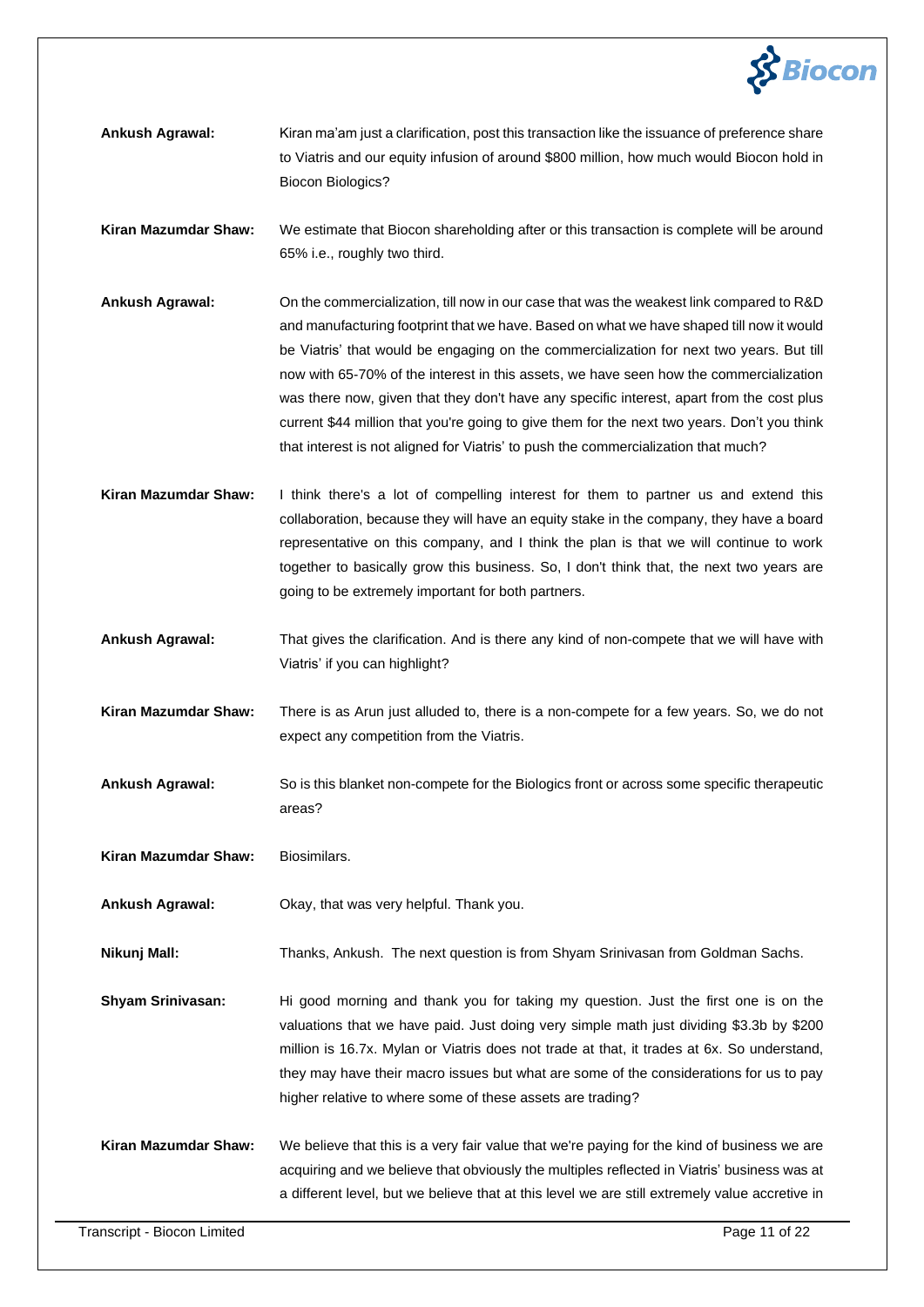

- **Ankush Agrawal:** Kiran ma'am just a clarification, post this transaction like the issuance of preference share to Viatris and our equity infusion of around \$800 million, how much would Biocon hold in Biocon Biologics?
- **Kiran Mazumdar Shaw:** We estimate that Biocon shareholding after or this transaction is complete will be around 65% i.e., roughly two third.
- **Ankush Agrawal:** On the commercialization, till now in our case that was the weakest link compared to R&D and manufacturing footprint that we have. Based on what we have shaped till now it would be Viatris' that would be engaging on the commercialization for next two years. But till now with 65-70% of the interest in this assets, we have seen how the commercialization was there now, given that they don't have any specific interest, apart from the cost plus current \$44 million that you're going to give them for the next two years. Don't you think that interest is not aligned for Viatris' to push the commercialization that much?
- **Kiran Mazumdar Shaw:** I think there's a lot of compelling interest for them to partner us and extend this collaboration, because they will have an equity stake in the company, they have a board representative on this company, and I think the plan is that we will continue to work together to basically grow this business. So, I don't think that, the next two years are going to be extremely important for both partners.
- **Ankush Agrawal:** That gives the clarification. And is there any kind of non-compete that we will have with Viatris' if you can highlight?
- **Kiran Mazumdar Shaw:** There is as Arun just alluded to, there is a non-compete for a few years. So, we do not expect any competition from the Viatris.
- **Ankush Agrawal:** So is this blanket non-compete for the Biologics front or across some specific therapeutic areas?
- **Kiran Mazumdar Shaw:** Biosimilars.
- **Ankush Agrawal:** Okay, that was very helpful. Thank you.
- **Nikunj Mall:** Thanks, Ankush. The next question is from Shyam Srinivasan from Goldman Sachs.
- **Shyam Srinivasan:** Hi good morning and thank you for taking my question. Just the first one is on the valuations that we have paid. Just doing very simple math just dividing \$3.3b by \$200 million is 16.7x. Mylan or Viatris does not trade at that, it trades at 6x. So understand, they may have their macro issues but what are some of the considerations for us to pay higher relative to where some of these assets are trading?
- **Kiran Mazumdar Shaw:** We believe that this is a very fair value that we're paying for the kind of business we are acquiring and we believe that obviously the multiples reflected in Viatris' business was at a different level, but we believe that at this level we are still extremely value accretive in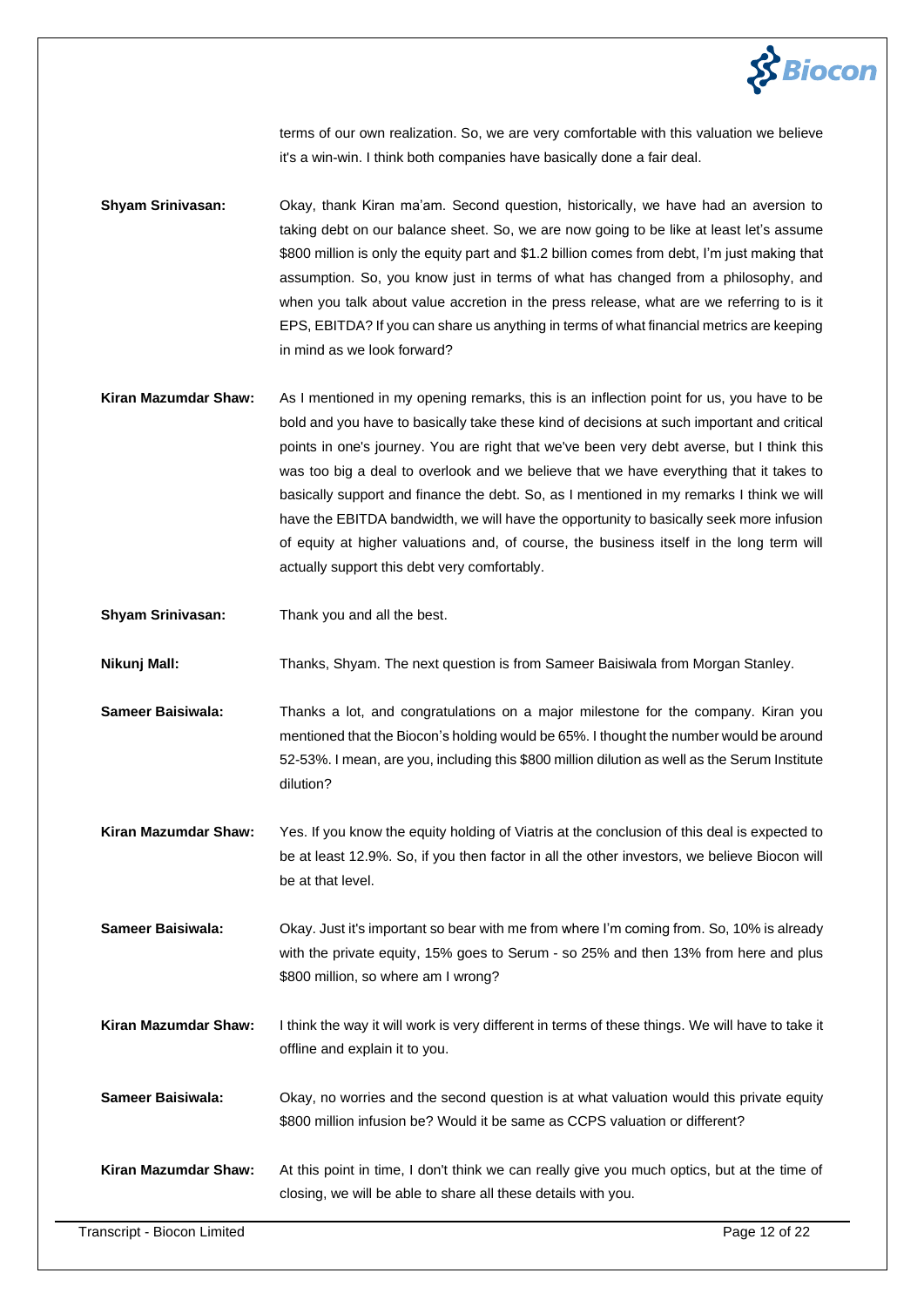

terms of our own realization. So, we are very comfortable with this valuation we believe it's a win-win. I think both companies have basically done a fair deal.

- **Shyam Srinivasan:** Okay, thank Kiran ma'am. Second question, historically, we have had an aversion to taking debt on our balance sheet. So, we are now going to be like at least let's assume \$800 million is only the equity part and \$1.2 billion comes from debt, I'm just making that assumption. So, you know just in terms of what has changed from a philosophy, and when you talk about value accretion in the press release, what are we referring to is it EPS, EBITDA? If you can share us anything in terms of what financial metrics are keeping in mind as we look forward?
- **Kiran Mazumdar Shaw:** As I mentioned in my opening remarks, this is an inflection point for us, you have to be bold and you have to basically take these kind of decisions at such important and critical points in one's journey. You are right that we've been very debt averse, but I think this was too big a deal to overlook and we believe that we have everything that it takes to basically support and finance the debt. So, as I mentioned in my remarks I think we will have the EBITDA bandwidth, we will have the opportunity to basically seek more infusion of equity at higher valuations and, of course, the business itself in the long term will actually support this debt very comfortably.
- **Shyam Srinivasan:** Thank you and all the best.

**Nikunj Mall:** Thanks, Shyam. The next question is from Sameer Baisiwala from Morgan Stanley.

- **Sameer Baisiwala:** Thanks a lot, and congratulations on a major milestone for the company. Kiran you mentioned that the Biocon's holding would be 65%. I thought the number would be around 52-53%. I mean, are you, including this \$800 million dilution as well as the Serum Institute dilution?
- **Kiran Mazumdar Shaw:** Yes. If you know the equity holding of Viatris at the conclusion of this deal is expected to be at least 12.9%. So, if you then factor in all the other investors, we believe Biocon will be at that level.
- **Sameer Baisiwala:** Okay. Just it's important so bear with me from where I'm coming from. So, 10% is already with the private equity, 15% goes to Serum - so 25% and then 13% from here and plus \$800 million, so where am I wrong?
- **Kiran Mazumdar Shaw:** I think the way it will work is very different in terms of these things. We will have to take it offline and explain it to you.
- **Sameer Baisiwala:** Okay, no worries and the second question is at what valuation would this private equity \$800 million infusion be? Would it be same as CCPS valuation or different?
- **Kiran Mazumdar Shaw:** At this point in time, I don't think we can really give you much optics, but at the time of closing, we will be able to share all these details with you.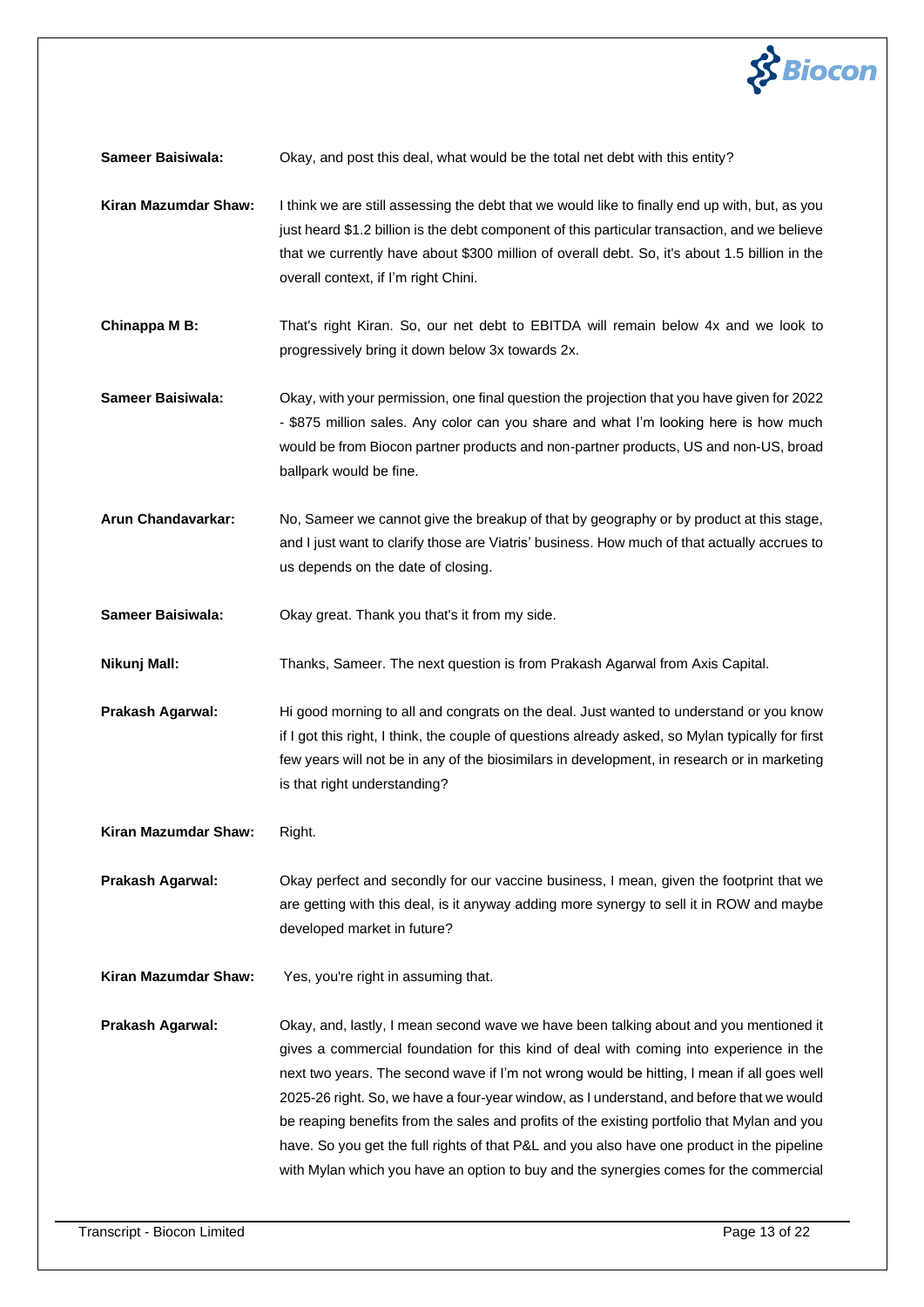

**Sameer Baisiwala:** Okay, and post this deal, what would be the total net debt with this entity?

- **Kiran Mazumdar Shaw:** I think we are still assessing the debt that we would like to finally end up with, but, as you just heard \$1.2 billion is the debt component of this particular transaction, and we believe that we currently have about \$300 million of overall debt. So, it's about 1.5 billion in the overall context, if I'm right Chini.
- **Chinappa M B:** That's right Kiran. So, our net debt to EBITDA will remain below 4x and we look to progressively bring it down below 3x towards 2x.
- **Sameer Baisiwala:** Okay, with your permission, one final question the projection that you have given for 2022 - \$875 million sales. Any color can you share and what I'm looking here is how much would be from Biocon partner products and non-partner products, US and non-US, broad ballpark would be fine.
- **Arun Chandavarkar:** No, Sameer we cannot give the breakup of that by geography or by product at this stage, and I just want to clarify those are Viatris' business. How much of that actually accrues to us depends on the date of closing.
- **Sameer Baisiwala:** Okay great. Thank you that's it from my side.
- **Nikunj Mall:** Thanks, Sameer. The next question is from Prakash Agarwal from Axis Capital.
- **Prakash Agarwal:** Hi good morning to all and congrats on the deal. Just wanted to understand or you know if I got this right, I think, the couple of questions already asked, so Mylan typically for first few years will not be in any of the biosimilars in development, in research or in marketing is that right understanding?
- **Kiran Mazumdar Shaw:** Right.
- **Prakash Agarwal:** Okay perfect and secondly for our vaccine business, I mean, given the footprint that we are getting with this deal, is it anyway adding more synergy to sell it in ROW and maybe developed market in future?
- **Kiran Mazumdar Shaw:** Yes, you're right in assuming that.

**Prakash Agarwal:** Okay, and, lastly, I mean second wave we have been talking about and you mentioned it gives a commercial foundation for this kind of deal with coming into experience in the next two years. The second wave if I'm not wrong would be hitting, I mean if all goes well 2025-26 right. So, we have a four-year window, as I understand, and before that we would be reaping benefits from the sales and profits of the existing portfolio that Mylan and you have. So you get the full rights of that P&L and you also have one product in the pipeline with Mylan which you have an option to buy and the synergies comes for the commercial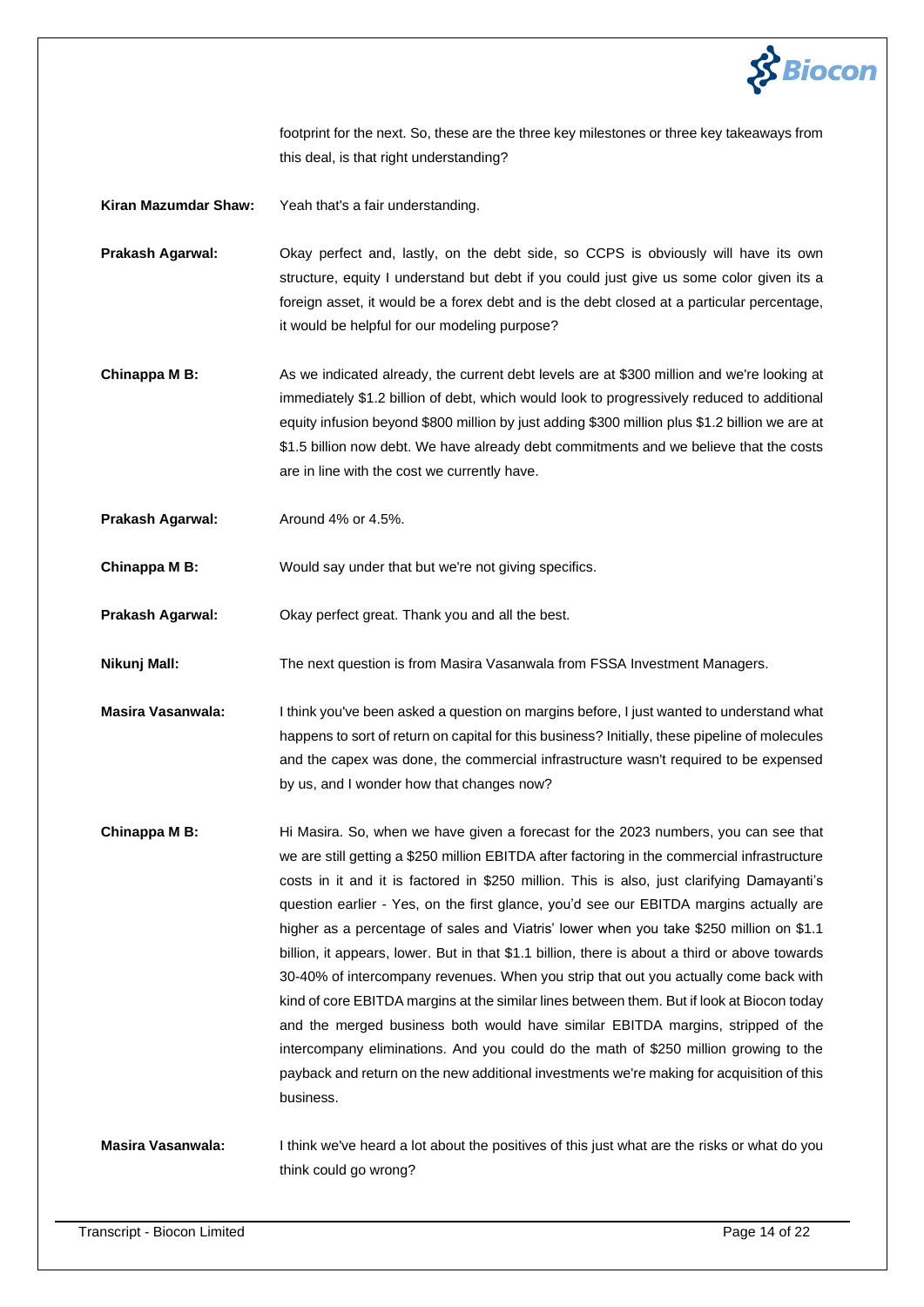

footprint for the next. So, these are the three key milestones or three key takeaways from this deal, is that right understanding?

**Kiran Mazumdar Shaw:** Yeah that's a fair understanding.

**Prakash Agarwal:** Okay perfect and, lastly, on the debt side, so CCPS is obviously will have its own structure, equity I understand but debt if you could just give us some color given its a foreign asset, it would be a forex debt and is the debt closed at a particular percentage, it would be helpful for our modeling purpose?

**Chinappa M B:** As we indicated already, the current debt levels are at \$300 million and we're looking at immediately \$1.2 billion of debt, which would look to progressively reduced to additional equity infusion beyond \$800 million by just adding \$300 million plus \$1.2 billion we are at \$1.5 billion now debt. We have already debt commitments and we believe that the costs are in line with the cost we currently have.

Prakash Agarwal: Around 4% or 4.5%.

**Chinappa M B:** Would say under that but we're not giving specifics.

**Prakash Agarwal:** Okay perfect great. Thank you and all the best.

**Nikunj Mall:** The next question is from Masira Vasanwala from FSSA Investment Managers.

**Masira Vasanwala:** I think you've been asked a question on margins before, I just wanted to understand what happens to sort of return on capital for this business? Initially, these pipeline of molecules and the capex was done, the commercial infrastructure wasn't required to be expensed by us, and I wonder how that changes now?

**Chinappa M B:** Hi Masira. So, when we have given a forecast for the 2023 numbers, you can see that we are still getting a \$250 million EBITDA after factoring in the commercial infrastructure costs in it and it is factored in \$250 million. This is also, just clarifying Damayanti's question earlier - Yes, on the first glance, you'd see our EBITDA margins actually are higher as a percentage of sales and Viatris' lower when you take \$250 million on \$1.1 billion, it appears, lower. But in that \$1.1 billion, there is about a third or above towards 30-40% of intercompany revenues. When you strip that out you actually come back with kind of core EBITDA margins at the similar lines between them. But if look at Biocon today and the merged business both would have similar EBITDA margins, stripped of the intercompany eliminations. And you could do the math of \$250 million growing to the payback and return on the new additional investments we're making for acquisition of this business.

**Masira Vasanwala:** I think we've heard a lot about the positives of this just what are the risks or what do you think could go wrong?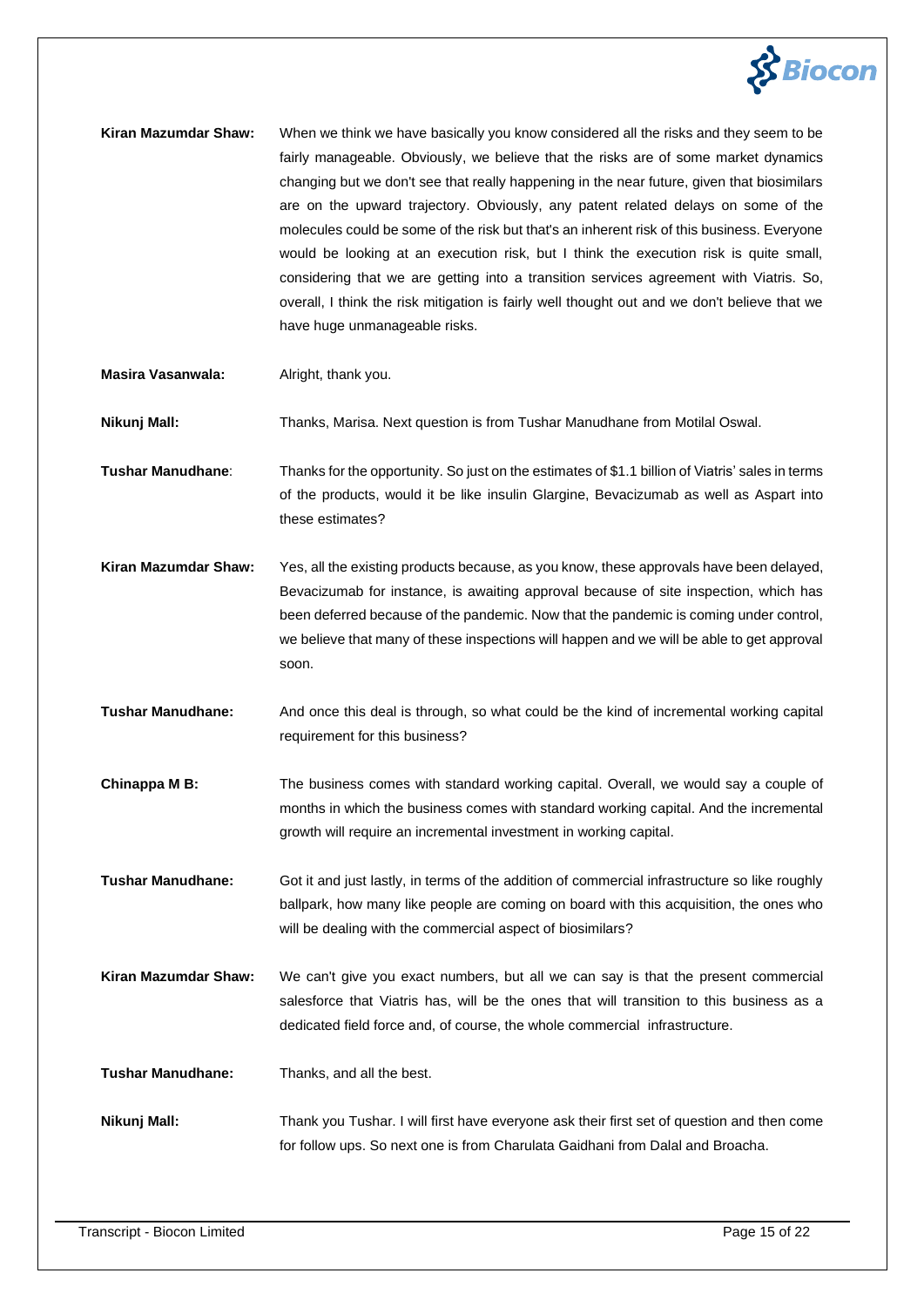

- **Kiran Mazumdar Shaw:** When we think we have basically you know considered all the risks and they seem to be fairly manageable. Obviously, we believe that the risks are of some market dynamics changing but we don't see that really happening in the near future, given that biosimilars are on the upward trajectory. Obviously, any patent related delays on some of the molecules could be some of the risk but that's an inherent risk of this business. Everyone would be looking at an execution risk, but I think the execution risk is quite small, considering that we are getting into a transition services agreement with Viatris. So, overall, I think the risk mitigation is fairly well thought out and we don't believe that we have huge unmanageable risks.
- **Masira Vasanwala:** Alright, thank you.

**Nikunj Mall:** Thanks, Marisa. Next question is from Tushar Manudhane from Motilal Oswal.

**Tushar Manudhane**: Thanks for the opportunity. So just on the estimates of \$1.1 billion of Viatris' sales in terms of the products, would it be like insulin Glargine, Bevacizumab as well as Aspart into these estimates?

**Kiran Mazumdar Shaw:** Yes, all the existing products because, as you know, these approvals have been delayed, Bevacizumab for instance, is awaiting approval because of site inspection, which has been deferred because of the pandemic. Now that the pandemic is coming under control, we believe that many of these inspections will happen and we will be able to get approval soon.

**Tushar Manudhane:** And once this deal is through, so what could be the kind of incremental working capital requirement for this business?

**Chinappa M B:** The business comes with standard working capital. Overall, we would say a couple of months in which the business comes with standard working capital. And the incremental growth will require an incremental investment in working capital.

**Tushar Manudhane:** Got it and just lastly, in terms of the addition of commercial infrastructure so like roughly ballpark, how many like people are coming on board with this acquisition, the ones who will be dealing with the commercial aspect of biosimilars?

**Kiran Mazumdar Shaw:** We can't give you exact numbers, but all we can say is that the present commercial salesforce that Viatris has, will be the ones that will transition to this business as a dedicated field force and, of course, the whole commercial infrastructure.

**Tushar Manudhane:** Thanks, and all the best.

**Nikunj Mall:** Thank you Tushar. I will first have everyone ask their first set of question and then come for follow ups. So next one is from Charulata Gaidhani from Dalal and Broacha.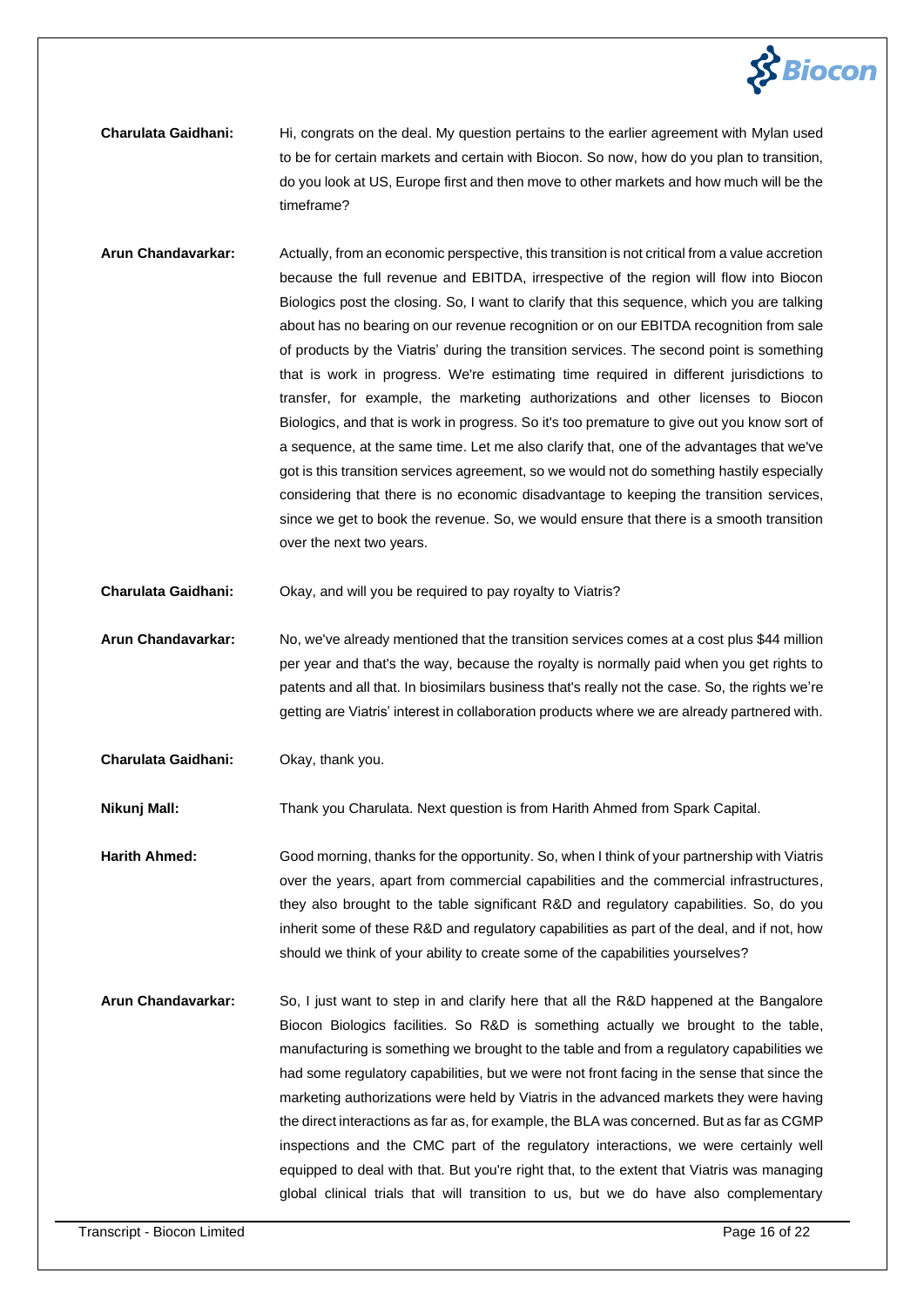

- **Charulata Gaidhani:** Hi, congrats on the deal. My question pertains to the earlier agreement with Mylan used to be for certain markets and certain with Biocon. So now, how do you plan to transition, do you look at US, Europe first and then move to other markets and how much will be the timeframe?
- **Arun Chandavarkar:** Actually, from an economic perspective, this transition is not critical from a value accretion because the full revenue and EBITDA, irrespective of the region will flow into Biocon Biologics post the closing. So, I want to clarify that this sequence, which you are talking about has no bearing on our revenue recognition or on our EBITDA recognition from sale of products by the Viatris' during the transition services. The second point is something that is work in progress. We're estimating time required in different jurisdictions to transfer, for example, the marketing authorizations and other licenses to Biocon Biologics, and that is work in progress. So it's too premature to give out you know sort of a sequence, at the same time. Let me also clarify that, one of the advantages that we've got is this transition services agreement, so we would not do something hastily especially considering that there is no economic disadvantage to keeping the transition services, since we get to book the revenue. So, we would ensure that there is a smooth transition over the next two years.
- **Charulata Gaidhani:** Okay, and will you be required to pay royalty to Viatris?
- **Arun Chandavarkar:** No, we've already mentioned that the transition services comes at a cost plus \$44 million per year and that's the way, because the royalty is normally paid when you get rights to patents and all that. In biosimilars business that's really not the case. So, the rights we're getting are Viatris' interest in collaboration products where we are already partnered with.
- **Charulata Gaidhani:** Okay, thank you.

**Nikunj Mall:** Thank you Charulata. Next question is from Harith Ahmed from Spark Capital.

**Harith Ahmed:** Good morning, thanks for the opportunity. So, when I think of your partnership with Viatris over the years, apart from commercial capabilities and the commercial infrastructures, they also brought to the table significant R&D and regulatory capabilities. So, do you inherit some of these R&D and regulatory capabilities as part of the deal, and if not, how should we think of your ability to create some of the capabilities yourselves?

**Arun Chandavarkar:** So, I just want to step in and clarify here that all the R&D happened at the Bangalore Biocon Biologics facilities. So R&D is something actually we brought to the table, manufacturing is something we brought to the table and from a regulatory capabilities we had some regulatory capabilities, but we were not front facing in the sense that since the marketing authorizations were held by Viatris in the advanced markets they were having the direct interactions as far as, for example, the BLA was concerned. But as far as CGMP inspections and the CMC part of the regulatory interactions, we were certainly well equipped to deal with that. But you're right that, to the extent that Viatris was managing global clinical trials that will transition to us, but we do have also complementary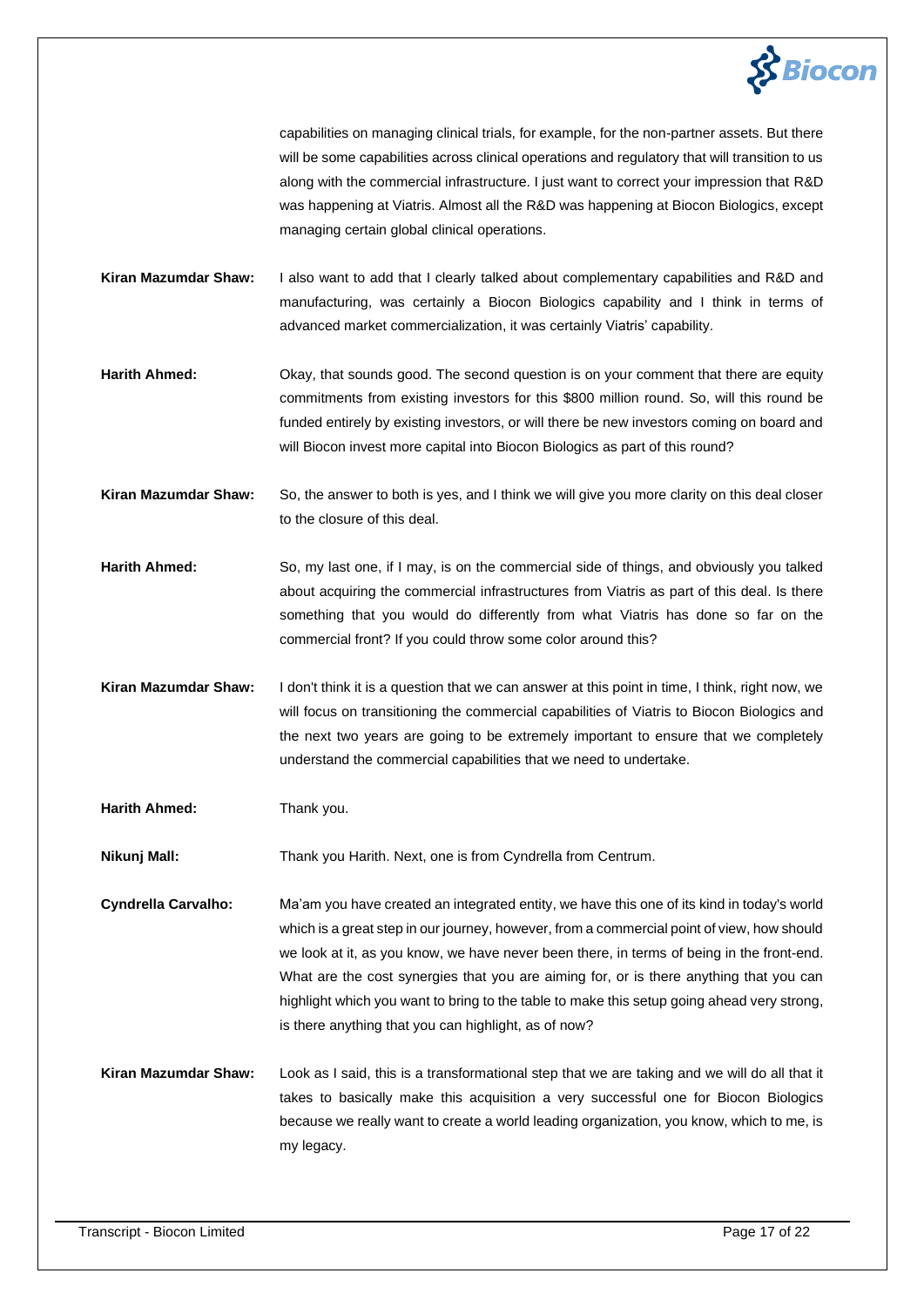

capabilities on managing clinical trials, for example, for the non-partner assets. But there will be some capabilities across clinical operations and regulatory that will transition to us along with the commercial infrastructure. I just want to correct your impression that R&D was happening at Viatris. Almost all the R&D was happening at Biocon Biologics, except managing certain global clinical operations.

**Kiran Mazumdar Shaw:** I also want to add that I clearly talked about complementary capabilities and R&D and manufacturing, was certainly a Biocon Biologics capability and I think in terms of advanced market commercialization, it was certainly Viatris' capability.

**Harith Ahmed:** Okay, that sounds good. The second question is on your comment that there are equity commitments from existing investors for this \$800 million round. So, will this round be funded entirely by existing investors, or will there be new investors coming on board and will Biocon invest more capital into Biocon Biologics as part of this round?

**Kiran Mazumdar Shaw:** So, the answer to both is yes, and I think we will give you more clarity on this deal closer to the closure of this deal.

**Harith Ahmed:** So, my last one, if I may, is on the commercial side of things, and obviously you talked about acquiring the commercial infrastructures from Viatris as part of this deal. Is there something that you would do differently from what Viatris has done so far on the commercial front? If you could throw some color around this?

**Kiran Mazumdar Shaw:** I don't think it is a question that we can answer at this point in time, I think, right now, we will focus on transitioning the commercial capabilities of Viatris to Biocon Biologics and the next two years are going to be extremely important to ensure that we completely understand the commercial capabilities that we need to undertake.

**Harith Ahmed:** Thank you.

**Nikunj Mall:** Thank you Harith. Next, one is from Cyndrella from Centrum.

**Cyndrella Carvalho:** Ma'am you have created an integrated entity, we have this one of its kind in today's world which is a great step in our journey, however, from a commercial point of view, how should we look at it, as you know, we have never been there, in terms of being in the front-end. What are the cost synergies that you are aiming for, or is there anything that you can highlight which you want to bring to the table to make this setup going ahead very strong, is there anything that you can highlight, as of now?

**Kiran Mazumdar Shaw:** Look as I said, this is a transformational step that we are taking and we will do all that it takes to basically make this acquisition a very successful one for Biocon Biologics because we really want to create a world leading organization, you know, which to me, is my legacy.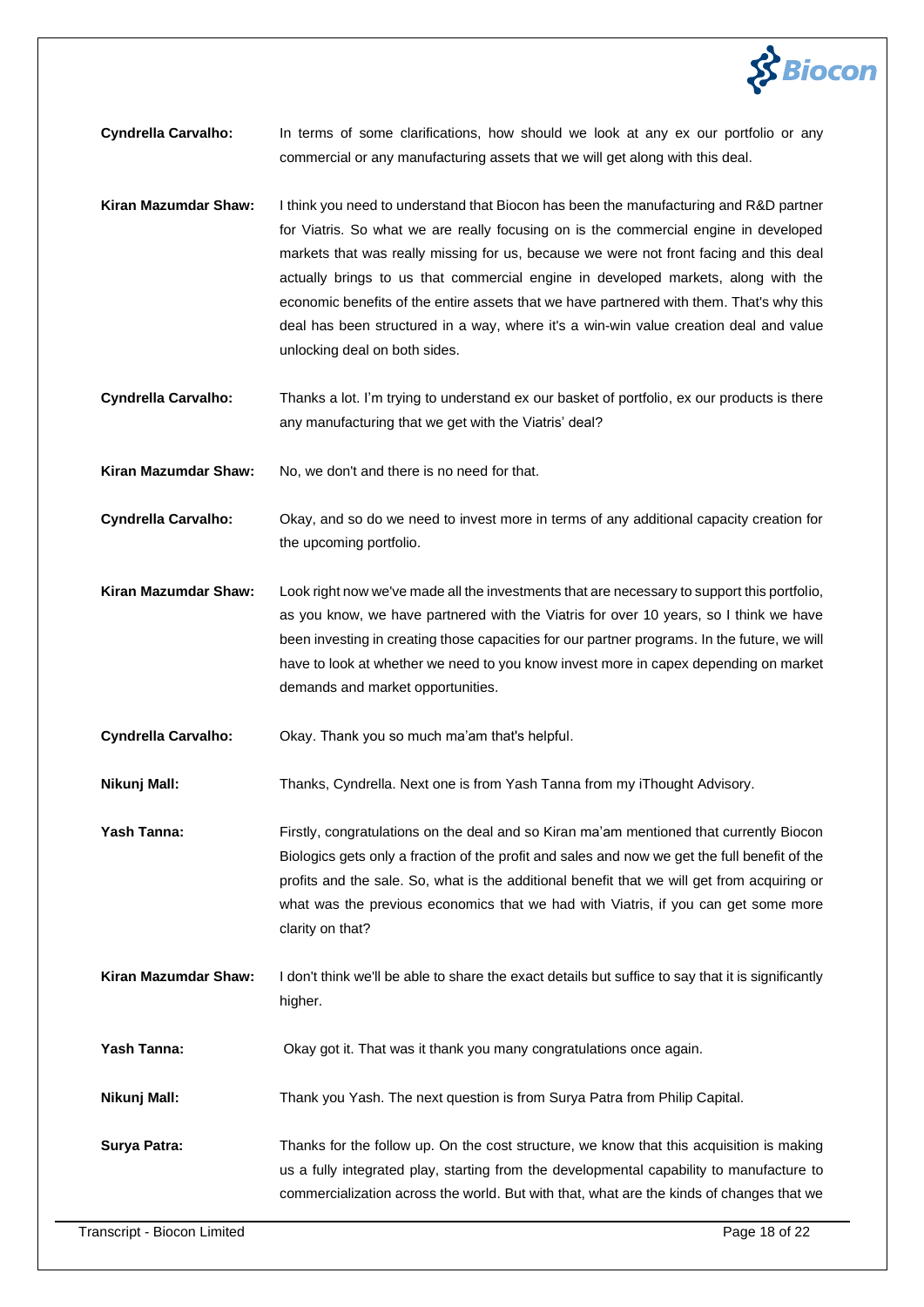

**Cyndrella Carvalho:** In terms of some clarifications, how should we look at any ex our portfolio or any commercial or any manufacturing assets that we will get along with this deal.

- **Kiran Mazumdar Shaw:** I think you need to understand that Biocon has been the manufacturing and R&D partner for Viatris. So what we are really focusing on is the commercial engine in developed markets that was really missing for us, because we were not front facing and this deal actually brings to us that commercial engine in developed markets, along with the economic benefits of the entire assets that we have partnered with them. That's why this deal has been structured in a way, where it's a win-win value creation deal and value unlocking deal on both sides.
- **Cyndrella Carvalho:** Thanks a lot. I'm trying to understand ex our basket of portfolio, ex our products is there any manufacturing that we get with the Viatris' deal?

Kiran Mazumdar Shaw: No, we don't and there is no need for that.

**Cyndrella Carvalho:** Okay, and so do we need to invest more in terms of any additional capacity creation for the upcoming portfolio.

**Kiran Mazumdar Shaw:** Look right now we've made all the investments that are necessary to support this portfolio, as you know, we have partnered with the Viatris for over 10 years, so I think we have been investing in creating those capacities for our partner programs. In the future, we will have to look at whether we need to you know invest more in capex depending on market demands and market opportunities.

**Cyndrella Carvalho:** Okay. Thank you so much ma'am that's helpful.

**Nikunj Mall:** Thanks, Cyndrella. Next one is from Yash Tanna from my iThought Advisory.

**Yash Tanna:** Firstly, congratulations on the deal and so Kiran ma'am mentioned that currently Biocon Biologics gets only a fraction of the profit and sales and now we get the full benefit of the profits and the sale. So, what is the additional benefit that we will get from acquiring or what was the previous economics that we had with Viatris, if you can get some more clarity on that?

**Kiran Mazumdar Shaw:** I don't think we'll be able to share the exact details but suffice to say that it is significantly higher.

**Yash Tanna: Okay got it. That was it thank you many congratulations once again.** 

**Nikunj Mall:** Thank you Yash. The next question is from Surya Patra from Philip Capital.

**Surya Patra:** Thanks for the follow up. On the cost structure, we know that this acquisition is making us a fully integrated play, starting from the developmental capability to manufacture to commercialization across the world. But with that, what are the kinds of changes that we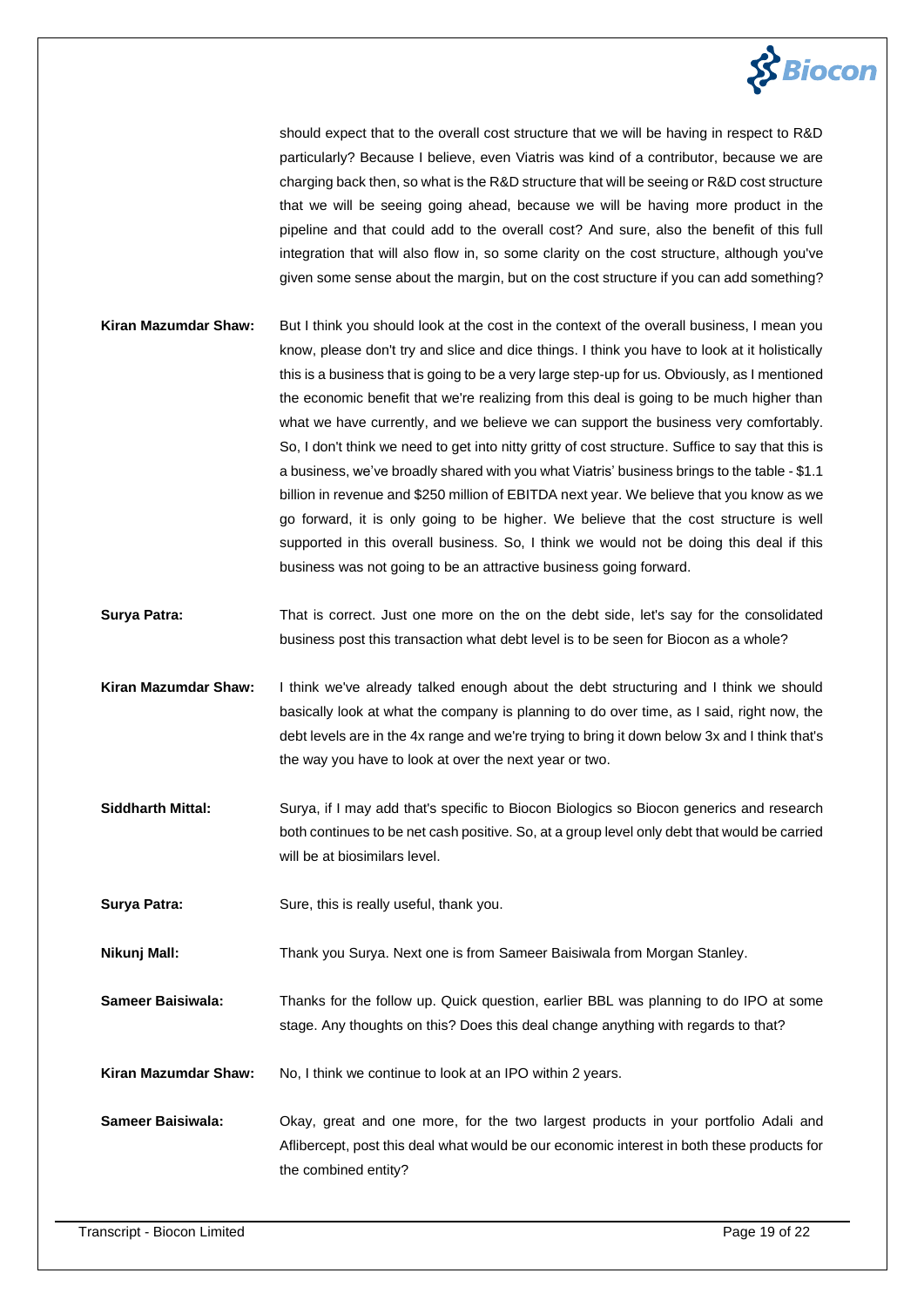

should expect that to the overall cost structure that we will be having in respect to R&D particularly? Because I believe, even Viatris was kind of a contributor, because we are charging back then, so what is the R&D structure that will be seeing or R&D cost structure that we will be seeing going ahead, because we will be having more product in the pipeline and that could add to the overall cost? And sure, also the benefit of this full integration that will also flow in, so some clarity on the cost structure, although you've given some sense about the margin, but on the cost structure if you can add something?

- **Kiran Mazumdar Shaw:** But I think you should look at the cost in the context of the overall business, I mean you know, please don't try and slice and dice things. I think you have to look at it holistically this is a business that is going to be a very large step-up for us. Obviously, as I mentioned the economic benefit that we're realizing from this deal is going to be much higher than what we have currently, and we believe we can support the business very comfortably. So, I don't think we need to get into nitty gritty of cost structure. Suffice to say that this is a business, we've broadly shared with you what Viatris' business brings to the table - \$1.1 billion in revenue and \$250 million of EBITDA next year. We believe that you know as we go forward, it is only going to be higher. We believe that the cost structure is well supported in this overall business. So, I think we would not be doing this deal if this business was not going to be an attractive business going forward.
- **Surya Patra:** That is correct. Just one more on the on the debt side, let's say for the consolidated business post this transaction what debt level is to be seen for Biocon as a whole?
- **Kiran Mazumdar Shaw:** I think we've already talked enough about the debt structuring and I think we should basically look at what the company is planning to do over time, as I said, right now, the debt levels are in the 4x range and we're trying to bring it down below 3x and I think that's the way you have to look at over the next year or two.
- **Siddharth Mittal:** Surya, if I may add that's specific to Biocon Biologics so Biocon generics and research both continues to be net cash positive. So, at a group level only debt that would be carried will be at biosimilars level.
- **Surya Patra:** Sure, this is really useful, thank you.
- **Nikunj Mall:** Thank you Surya. Next one is from Sameer Baisiwala from Morgan Stanley.

**Sameer Baisiwala:** Thanks for the follow up. Quick question, earlier BBL was planning to do IPO at some stage. Any thoughts on this? Does this deal change anything with regards to that?

- **Kiran Mazumdar Shaw:** No, I think we continue to look at an IPO within 2 years.
- **Sameer Baisiwala:** Okay, great and one more, for the two largest products in your portfolio Adali and Aflibercept, post this deal what would be our economic interest in both these products for the combined entity?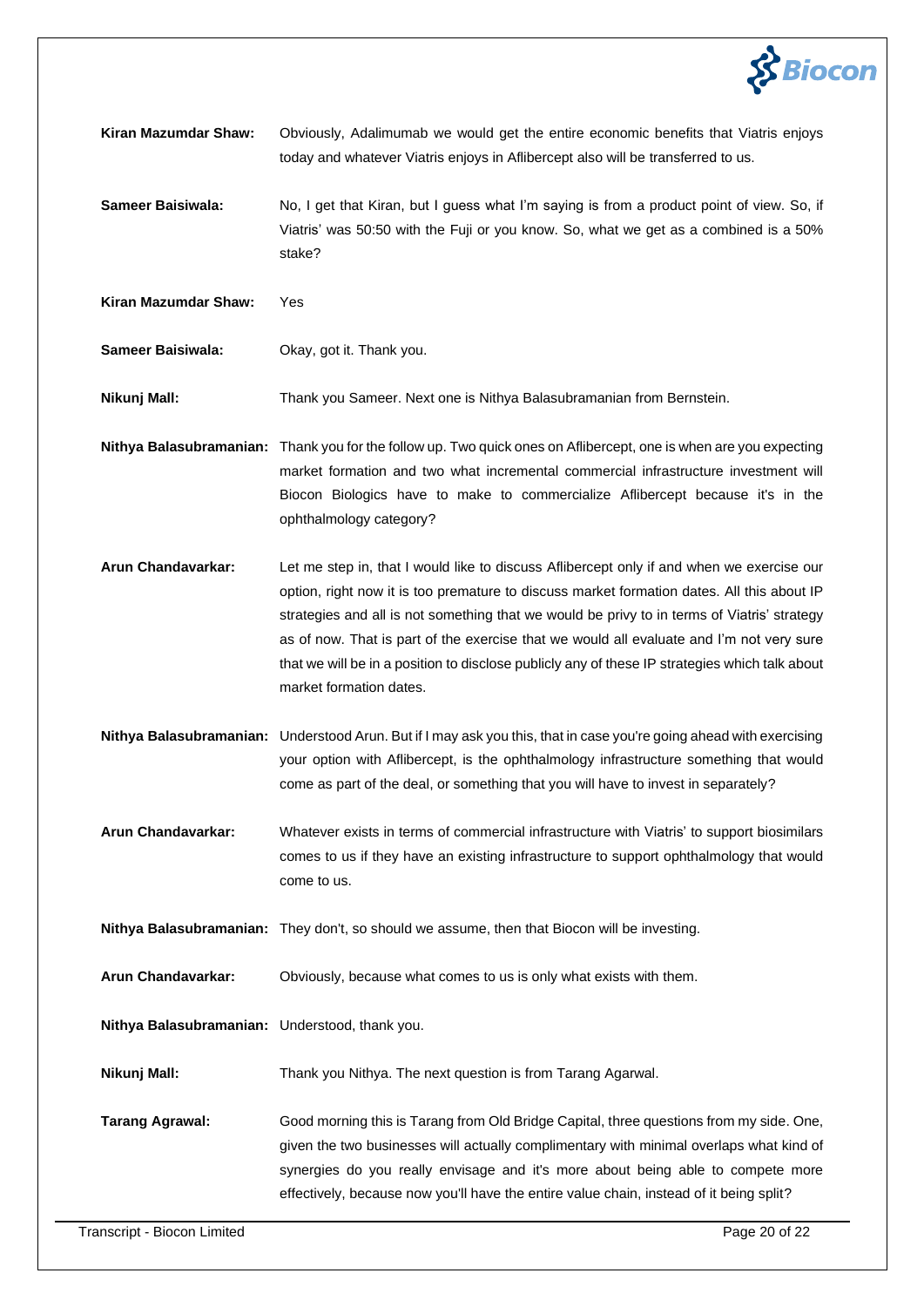

**Kiran Mazumdar Shaw:** Obviously, Adalimumab we would get the entire economic benefits that Viatris enjoys today and whatever Viatris enjoys in Aflibercept also will be transferred to us.

**Sameer Baisiwala:** No, I get that Kiran, but I guess what I'm saying is from a product point of view. So, if Viatris' was 50:50 with the Fuji or you know. So, what we get as a combined is a 50% stake?

**Kiran Mazumdar Shaw:** Yes

**Sameer Baisiwala:** Okay, got it. Thank you.

**Nikunj Mall:** Thank you Sameer. Next one is Nithya Balasubramanian from Bernstein.

**Nithya Balasubramanian:** Thank you for the follow up. Two quick ones on Aflibercept, one is when are you expecting market formation and two what incremental commercial infrastructure investment will Biocon Biologics have to make to commercialize Aflibercept because it's in the ophthalmology category?

**Arun Chandavarkar:** Let me step in, that I would like to discuss Aflibercept only if and when we exercise our option, right now it is too premature to discuss market formation dates. All this about IP strategies and all is not something that we would be privy to in terms of Viatris' strategy as of now. That is part of the exercise that we would all evaluate and I'm not very sure that we will be in a position to disclose publicly any of these IP strategies which talk about market formation dates.

**Nithya Balasubramanian:** Understood Arun. But if I may ask you this, that in case you're going ahead with exercising your option with Aflibercept, is the ophthalmology infrastructure something that would come as part of the deal, or something that you will have to invest in separately?

**Arun Chandavarkar:** Whatever exists in terms of commercial infrastructure with Viatris' to support biosimilars comes to us if they have an existing infrastructure to support ophthalmology that would come to us.

**Nithya Balasubramanian:** They don't, so should we assume, then that Biocon will be investing.

**Arun Chandavarkar:** Obviously, because what comes to us is only what exists with them.

**Nithya Balasubramanian:** Understood, thank you.

**Nikunj Mall:** Thank you Nithya. The next question is from Tarang Agarwal.

**Tarang Agrawal:** Good morning this is Tarang from Old Bridge Capital, three questions from my side. One, given the two businesses will actually complimentary with minimal overlaps what kind of synergies do you really envisage and it's more about being able to compete more effectively, because now you'll have the entire value chain, instead of it being split?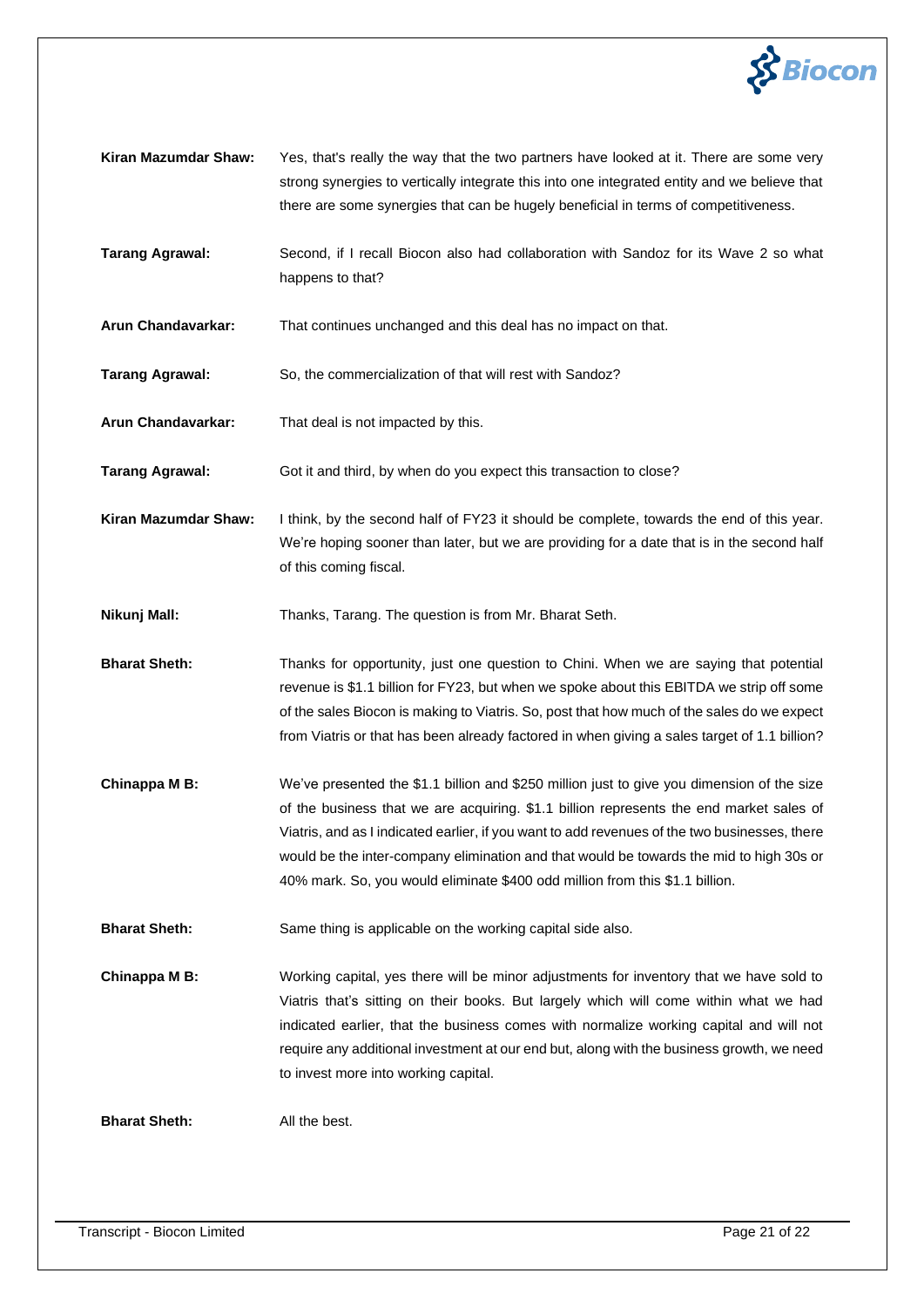

- **Kiran Mazumdar Shaw:** Yes, that's really the way that the two partners have looked at it. There are some very strong synergies to vertically integrate this into one integrated entity and we believe that there are some synergies that can be hugely beneficial in terms of competitiveness.
- **Tarang Agrawal:** Second, if I recall Biocon also had collaboration with Sandoz for its Wave 2 so what happens to that?
- **Arun Chandavarkar:** That continues unchanged and this deal has no impact on that.
- **Tarang Agrawal:** So, the commercialization of that will rest with Sandoz?
- **Arun Chandavarkar:** That deal is not impacted by this.
- **Tarang Agrawal:** Got it and third, by when do you expect this transaction to close?
- **Kiran Mazumdar Shaw:** I think, by the second half of FY23 it should be complete, towards the end of this year. We're hoping sooner than later, but we are providing for a date that is in the second half of this coming fiscal.
- **Nikunj Mall:** Thanks, Tarang. The question is from Mr. Bharat Seth.
- **Bharat Sheth:** Thanks for opportunity, just one question to Chini. When we are saying that potential revenue is \$1.1 billion for FY23, but when we spoke about this EBITDA we strip off some of the sales Biocon is making to Viatris. So, post that how much of the sales do we expect from Viatris or that has been already factored in when giving a sales target of 1.1 billion?
- **Chinappa M B:** We've presented the \$1.1 billion and \$250 million just to give you dimension of the size of the business that we are acquiring. \$1.1 billion represents the end market sales of Viatris, and as I indicated earlier, if you want to add revenues of the two businesses, there would be the inter-company elimination and that would be towards the mid to high 30s or 40% mark. So, you would eliminate \$400 odd million from this \$1.1 billion.
- **Bharat Sheth:** Same thing is applicable on the working capital side also.
- **Chinappa M B:** Working capital, yes there will be minor adjustments for inventory that we have sold to Viatris that's sitting on their books. But largely which will come within what we had indicated earlier, that the business comes with normalize working capital and will not require any additional investment at our end but, along with the business growth, we need to invest more into working capital.

**Bharat Sheth:** All the best.